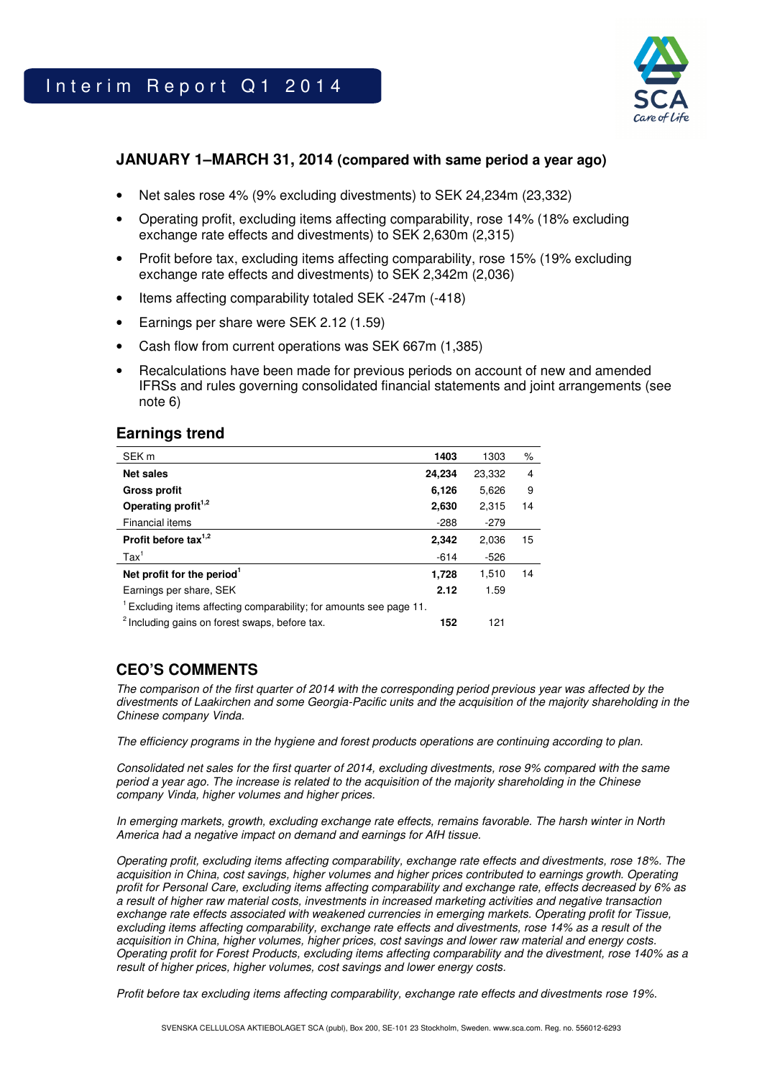

## **JANUARY 1–MARCH 31, 2014 (compared with same period a year ago)**

- Net sales rose 4% (9% excluding divestments) to SEK 24,234m (23,332)
- Operating profit, excluding items affecting comparability, rose 14% (18% excluding exchange rate effects and divestments) to SEK 2,630m (2,315)
- Profit before tax, excluding items affecting comparability, rose 15% (19% excluding exchange rate effects and divestments) to SEK 2,342m (2,036)
- Items affecting comparability totaled SEK -247m (-418)
- Earnings per share were SEK 2.12 (1.59)
- Cash flow from current operations was SEK 667m (1,385)
- Recalculations have been made for previous periods on account of new and amended IFRSs and rules governing consolidated financial statements and joint arrangements (see note 6)

## **Earnings trend**

| SEK <sub>m</sub>                                                               | 1403   | 1303   | ℅  |
|--------------------------------------------------------------------------------|--------|--------|----|
| <b>Net sales</b>                                                               | 24,234 | 23,332 | 4  |
| <b>Gross profit</b>                                                            | 6,126  | 5,626  | 9  |
| Operating profit <sup>1,2</sup>                                                | 2,630  | 2.315  | 14 |
| <b>Financial items</b>                                                         | $-288$ | $-279$ |    |
| Profit before tax $1,2$                                                        | 2,342  | 2,036  | 15 |
| $\text{Tax}^1$                                                                 | $-614$ | $-526$ |    |
| Net profit for the period <sup>1</sup>                                         | 1,728  | 1.510  | 14 |
| Earnings per share, SEK                                                        | 2.12   | 1.59   |    |
| <sup>1</sup> Excluding items affecting comparability; for amounts see page 11. |        |        |    |
| <sup>2</sup> Including gains on forest swaps, before tax.                      | 152    | 121    |    |

## **CEO'S COMMENTS**

The comparison of the first quarter of 2014 with the corresponding period previous year was affected by the divestments of Laakirchen and some Georgia-Pacific units and the acquisition of the majority shareholding in the Chinese company Vinda.

The efficiency programs in the hygiene and forest products operations are continuing according to plan.

Consolidated net sales for the first quarter of 2014, excluding divestments, rose 9% compared with the same period a year ago. The increase is related to the acquisition of the majority shareholding in the Chinese company Vinda, higher volumes and higher prices.

In emerging markets, growth, excluding exchange rate effects, remains favorable. The harsh winter in North America had a negative impact on demand and earnings for AfH tissue.

Operating profit, excluding items affecting comparability, exchange rate effects and divestments, rose 18%. The acquisition in China, cost savings, higher volumes and higher prices contributed to earnings growth. Operating profit for Personal Care, excluding items affecting comparability and exchange rate, effects decreased by 6% as a result of higher raw material costs, investments in increased marketing activities and negative transaction exchange rate effects associated with weakened currencies in emerging markets. Operating profit for Tissue, excluding items affecting comparability, exchange rate effects and divestments, rose 14% as a result of the acquisition in China, higher volumes, higher prices, cost savings and lower raw material and energy costs. Operating profit for Forest Products, excluding items affecting comparability and the divestment, rose 140% as a result of higher prices, higher volumes, cost savings and lower energy costs.

Profit before tax excluding items affecting comparability, exchange rate effects and divestments rose 19%.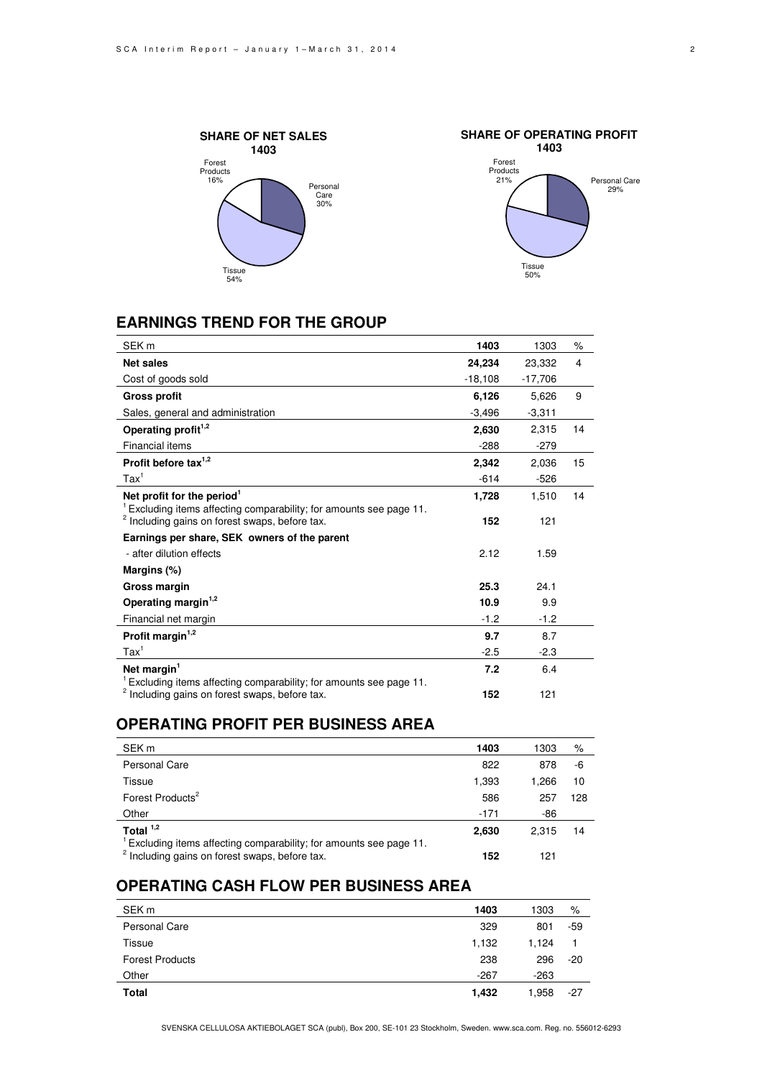



## **EARNINGS TREND FOR THE GROUP**

| SEK <sub>m</sub>                                                                                                                            | 1403      | 1303      | $\%$ |
|---------------------------------------------------------------------------------------------------------------------------------------------|-----------|-----------|------|
| <b>Net sales</b>                                                                                                                            | 24,234    | 23,332    | 4    |
| Cost of goods sold                                                                                                                          | $-18,108$ | $-17,706$ |      |
| <b>Gross profit</b>                                                                                                                         | 6,126     | 5,626     | 9    |
| Sales, general and administration                                                                                                           | $-3,496$  | $-3,311$  |      |
| Operating profit <sup>1,2</sup>                                                                                                             | 2,630     | 2.315     | 14   |
| Financial items                                                                                                                             | $-288$    | $-279$    |      |
| Profit before tax $1,2$                                                                                                                     | 2,342     | 2,036     | 15   |
| $\text{Tax}^1$                                                                                                                              | $-614$    | $-526$    |      |
| Net profit for the period <sup>1</sup>                                                                                                      | 1,728     | 1,510     | 14   |
| <sup>1</sup> Excluding items affecting comparability; for amounts see page 11.<br><sup>2</sup> Including gains on forest swaps, before tax. | 152       | 121       |      |
| Earnings per share, SEK owners of the parent                                                                                                |           |           |      |
| - after dilution effects                                                                                                                    | 2.12      | 1.59      |      |
|                                                                                                                                             |           |           |      |
| Margins (%)                                                                                                                                 |           |           |      |
| Gross margin                                                                                                                                | 25.3      | 24.1      |      |
| Operating margin <sup>1,2</sup>                                                                                                             | 10.9      | 9.9       |      |
| Financial net margin                                                                                                                        | $-1.2$    | $-1.2$    |      |
| Profit margin <sup>1,2</sup>                                                                                                                | 9.7       | 8.7       |      |
| $\text{Tax}^1$                                                                                                                              | $-2.5$    | $-2.3$    |      |
| Net margin <sup>1</sup>                                                                                                                     | 7.2       | 6.4       |      |
| Excluding items affecting comparability; for amounts see page 11.<br><sup>2</sup> Including gains on forest swaps, before tax.              | 152       | 121       |      |

## **OPERATING PROFIT PER BUSINESS AREA**

| SEK <sub>m</sub>                                                                              | 1403   | 1303  | %   |
|-----------------------------------------------------------------------------------------------|--------|-------|-----|
| <b>Personal Care</b>                                                                          | 822    | 878   | -6  |
| Tissue                                                                                        | 1,393  | 1.266 | 10  |
| Forest Products <sup>2</sup>                                                                  | 586    | 257   | 128 |
| Other                                                                                         | $-171$ | -86   |     |
| Total $1,2$<br><sup>1</sup> Excluding items affecting comparability; for amounts see page 11. | 2,630  | 2.315 | 14  |
| <sup>2</sup> Including gains on forest swaps, before tax.                                     | 152    | 121   |     |

## **OPERATING CASH FLOW PER BUSINESS AREA**

| SEK <sub>m</sub>       | 1403   | 1303   | %     |
|------------------------|--------|--------|-------|
| <b>Personal Care</b>   | 329    | 801    | $-59$ |
| Tissue                 | 1,132  | 1.124  |       |
| <b>Forest Products</b> | 238    | 296    | $-20$ |
| Other                  | $-267$ | $-263$ |       |
| Total                  | 1,432  | 1,958  | $-27$ |

SVENSKA CELLULOSA AKTIEBOLAGET SCA (publ), Box 200, SE-101 23 Stockholm, Sweden. www.sca.com. Reg. no. 556012-6293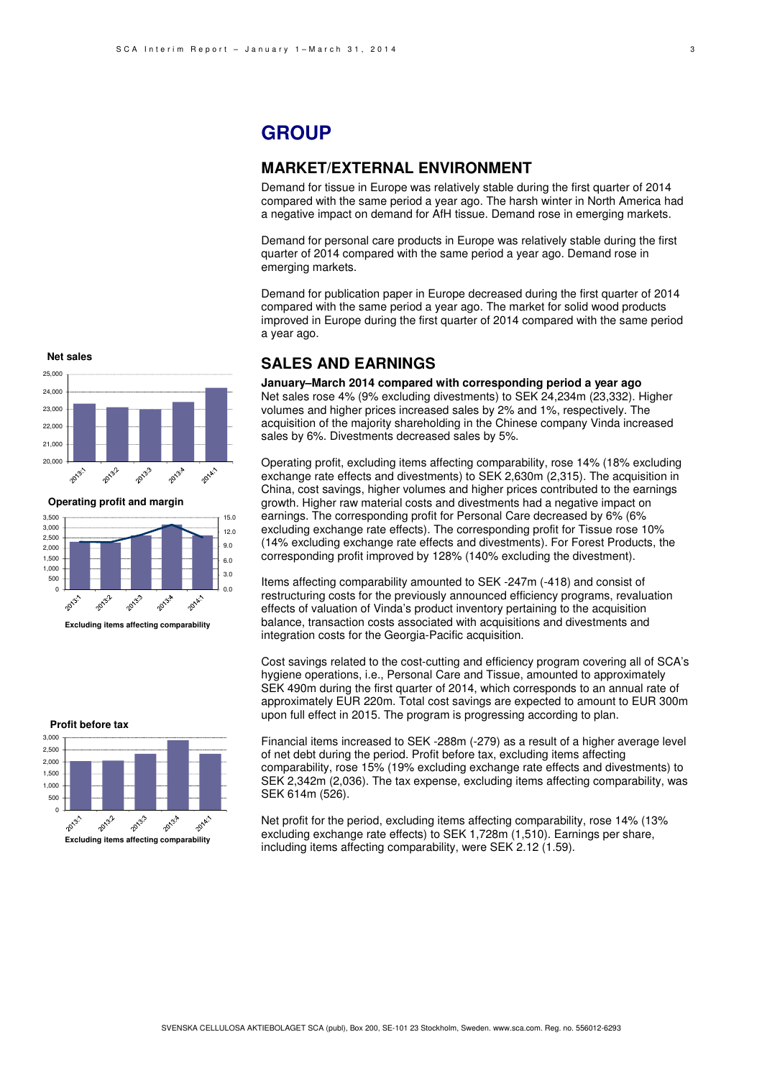## **GROUP**

### **MARKET/EXTERNAL ENVIRONMENT**

Demand for tissue in Europe was relatively stable during the first quarter of 2014 compared with the same period a year ago. The harsh winter in North America had a negative impact on demand for AfH tissue. Demand rose in emerging markets.

Demand for personal care products in Europe was relatively stable during the first quarter of 2014 compared with the same period a year ago. Demand rose in emerging markets.

Demand for publication paper in Europe decreased during the first quarter of 2014 compared with the same period a year ago. The market for solid wood products improved in Europe during the first quarter of 2014 compared with the same period a year ago.

### **SALES AND EARNINGS**

**January–March 2014 compared with corresponding period a year ago**  Net sales rose 4% (9% excluding divestments) to SEK 24,234m (23,332). Higher volumes and higher prices increased sales by 2% and 1%, respectively. The acquisition of the majority shareholding in the Chinese company Vinda increased sales by 6%. Divestments decreased sales by 5%.

Operating profit, excluding items affecting comparability, rose 14% (18% excluding exchange rate effects and divestments) to SEK 2,630m (2,315). The acquisition in China, cost savings, higher volumes and higher prices contributed to the earnings growth. Higher raw material costs and divestments had a negative impact on earnings. The corresponding profit for Personal Care decreased by 6% (6% excluding exchange rate effects). The corresponding profit for Tissue rose 10% (14% excluding exchange rate effects and divestments). For Forest Products, the corresponding profit improved by 128% (140% excluding the divestment).

Items affecting comparability amounted to SEK -247m (-418) and consist of restructuring costs for the previously announced efficiency programs, revaluation effects of valuation of Vinda's product inventory pertaining to the acquisition balance, transaction costs associated with acquisitions and divestments and integration costs for the Georgia-Pacific acquisition.

Cost savings related to the cost-cutting and efficiency program covering all of SCA's hygiene operations, i.e., Personal Care and Tissue, amounted to approximately SEK 490m during the first quarter of 2014, which corresponds to an annual rate of approximately EUR 220m. Total cost savings are expected to amount to EUR 300m upon full effect in 2015. The program is progressing according to plan.

Financial items increased to SEK -288m (-279) as a result of a higher average level of net debt during the period. Profit before tax, excluding items affecting comparability, rose 15% (19% excluding exchange rate effects and divestments) to SEK 2,342m (2,036). The tax expense, excluding items affecting comparability, was SEK 614m (526).

Net profit for the period, excluding items affecting comparability, rose 14% (13% excluding exchange rate effects) to SEK 1,728m (1,510). Earnings per share, including items affecting comparability, were SEK 2.12 (1.59).



**Operating profit and margin**



**Profit before tax**

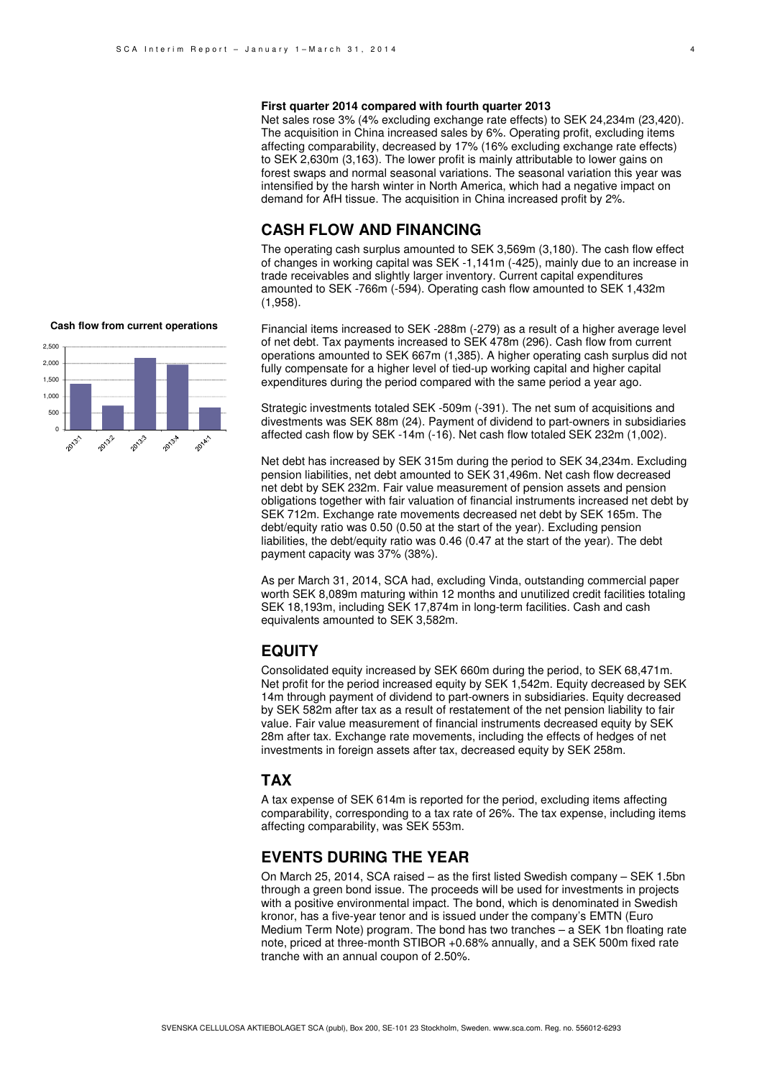#### **First quarter 2014 compared with fourth quarter 2013**

Net sales rose 3% (4% excluding exchange rate effects) to SEK 24,234m (23,420). The acquisition in China increased sales by 6%. Operating profit, excluding items affecting comparability, decreased by 17% (16% excluding exchange rate effects) to SEK 2,630m (3,163). The lower profit is mainly attributable to lower gains on forest swaps and normal seasonal variations. The seasonal variation this year was intensified by the harsh winter in North America, which had a negative impact on demand for AfH tissue. The acquisition in China increased profit by 2%.

## **CASH FLOW AND FINANCING**

The operating cash surplus amounted to SEK 3,569m (3,180). The cash flow effect of changes in working capital was SEK -1,141m (-425), mainly due to an increase in trade receivables and slightly larger inventory. Current capital expenditures amounted to SEK -766m (-594). Operating cash flow amounted to SEK 1,432m (1,958).

Financial items increased to SEK -288m (-279) as a result of a higher average level of net debt. Tax payments increased to SEK 478m (296). Cash flow from current operations amounted to SEK 667m (1,385). A higher operating cash surplus did not fully compensate for a higher level of tied-up working capital and higher capital expenditures during the period compared with the same period a year ago.

Strategic investments totaled SEK -509m (-391). The net sum of acquisitions and divestments was SEK 88m (24). Payment of dividend to part-owners in subsidiaries affected cash flow by SEK -14m (-16). Net cash flow totaled SEK 232m (1,002).

Net debt has increased by SEK 315m during the period to SEK 34,234m. Excluding pension liabilities, net debt amounted to SEK 31,496m. Net cash flow decreased net debt by SEK 232m. Fair value measurement of pension assets and pension obligations together with fair valuation of financial instruments increased net debt by SEK 712m. Exchange rate movements decreased net debt by SEK 165m. The debt/equity ratio was 0.50 (0.50 at the start of the year). Excluding pension liabilities, the debt/equity ratio was 0.46 (0.47 at the start of the year). The debt payment capacity was 37% (38%).

As per March 31, 2014, SCA had, excluding Vinda, outstanding commercial paper worth SEK 8,089m maturing within 12 months and unutilized credit facilities totaling SEK 18,193m, including SEK 17,874m in long-term facilities. Cash and cash equivalents amounted to SEK 3,582m.

## **EQUITY**

Consolidated equity increased by SEK 660m during the period, to SEK 68,471m. Net profit for the period increased equity by SEK 1,542m. Equity decreased by SEK 14m through payment of dividend to part-owners in subsidiaries. Equity decreased by SEK 582m after tax as a result of restatement of the net pension liability to fair value. Fair value measurement of financial instruments decreased equity by SEK 28m after tax. Exchange rate movements, including the effects of hedges of net investments in foreign assets after tax, decreased equity by SEK 258m.

## **TAX**

A tax expense of SEK 614m is reported for the period, excluding items affecting comparability, corresponding to a tax rate of 26%. The tax expense, including items affecting comparability, was SEK 553m.

## **EVENTS DURING THE YEAR**

On March 25, 2014, SCA raised – as the first listed Swedish company – SEK 1.5bn through a green bond issue. The proceeds will be used for investments in projects with a positive environmental impact. The bond, which is denominated in Swedish kronor, has a five-year tenor and is issued under the company's EMTN (Euro Medium Term Note) program. The bond has two tranches – a SEK 1bn floating rate note, priced at three-month STIBOR +0.68% annually, and a SEK 500m fixed rate tranche with an annual coupon of 2.50%.



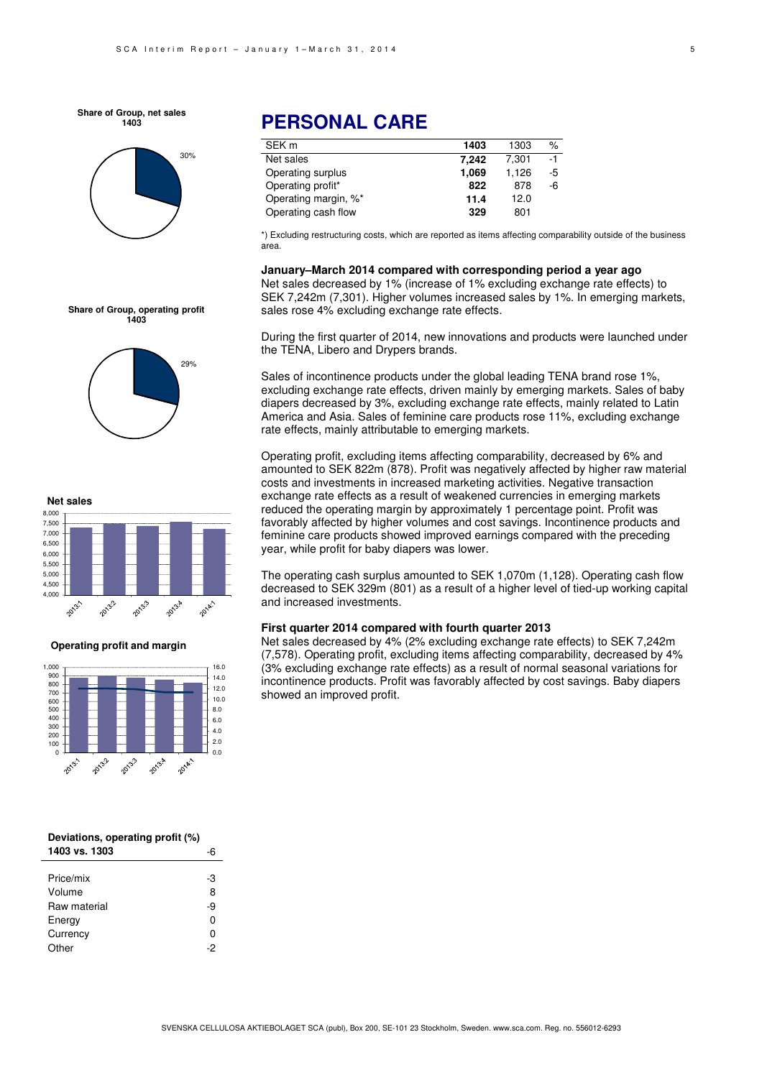**Share of Group, net sales 1403**



**Share of Group, operating profit 1403**

29%

# **PERSONAL CARE**

| SEK <sub>m</sub>     | 1403  | 1303  | $\%$ |
|----------------------|-------|-------|------|
| Net sales            | 7.242 | 7.301 | $-1$ |
| Operating surplus    | 1.069 | 1,126 | -5   |
| Operating profit*    | 822   | 878   | -6   |
| Operating margin, %* | 11.4  | 12.0  |      |
| Operating cash flow  | 329   | 801   |      |

\*) Excluding restructuring costs, which are reported as items affecting comparability outside of the business area.

**January–March 2014 compared with corresponding period a year ago**  Net sales decreased by 1% (increase of 1% excluding exchange rate effects) to SEK 7,242m (7,301). Higher volumes increased sales by 1%. In emerging markets, sales rose 4% excluding exchange rate effects.

During the first quarter of 2014, new innovations and products were launched under the TENA, Libero and Drypers brands.

Sales of incontinence products under the global leading TENA brand rose 1%, excluding exchange rate effects, driven mainly by emerging markets. Sales of baby diapers decreased by 3%, excluding exchange rate effects, mainly related to Latin America and Asia. Sales of feminine care products rose 11%, excluding exchange rate effects, mainly attributable to emerging markets.

Operating profit, excluding items affecting comparability, decreased by 6% and amounted to SEK 822m (878). Profit was negatively affected by higher raw material costs and investments in increased marketing activities. Negative transaction exchange rate effects as a result of weakened currencies in emerging markets reduced the operating margin by approximately 1 percentage point. Profit was favorably affected by higher volumes and cost savings. Incontinence products and feminine care products showed improved earnings compared with the preceding year, while profit for baby diapers was lower.

The operating cash surplus amounted to SEK 1,070m (1,128). Operating cash flow decreased to SEK 329m (801) as a result of a higher level of tied-up working capital and increased investments.

#### **First quarter 2014 compared with fourth quarter 2013**

Net sales decreased by 4% (2% excluding exchange rate effects) to SEK 7,242m (7,578). Operating profit, excluding items affecting comparability, decreased by 4% (3% excluding exchange rate effects) as a result of normal seasonal variations for incontinence products. Profit was favorably affected by cost savings. Baby diapers showed an improved profit.

**Net sales** 8,000 7,500 7,000 6,500 6,000 5,500 5,000 4,500 4,000 20132 **POLA** 2013.3 2013:4 2013:1

**Operating profit and margin**



| Deviations, operating profit (%) |         |  |
|----------------------------------|---------|--|
| 1403 vs. 1303                    |         |  |
| Price/mix                        |         |  |
| Volume                           | -3<br>8 |  |
| Raw material                     | -9      |  |
| Energy                           | ŋ       |  |
| Currency                         | ŋ       |  |
| Other                            | -2      |  |
|                                  |         |  |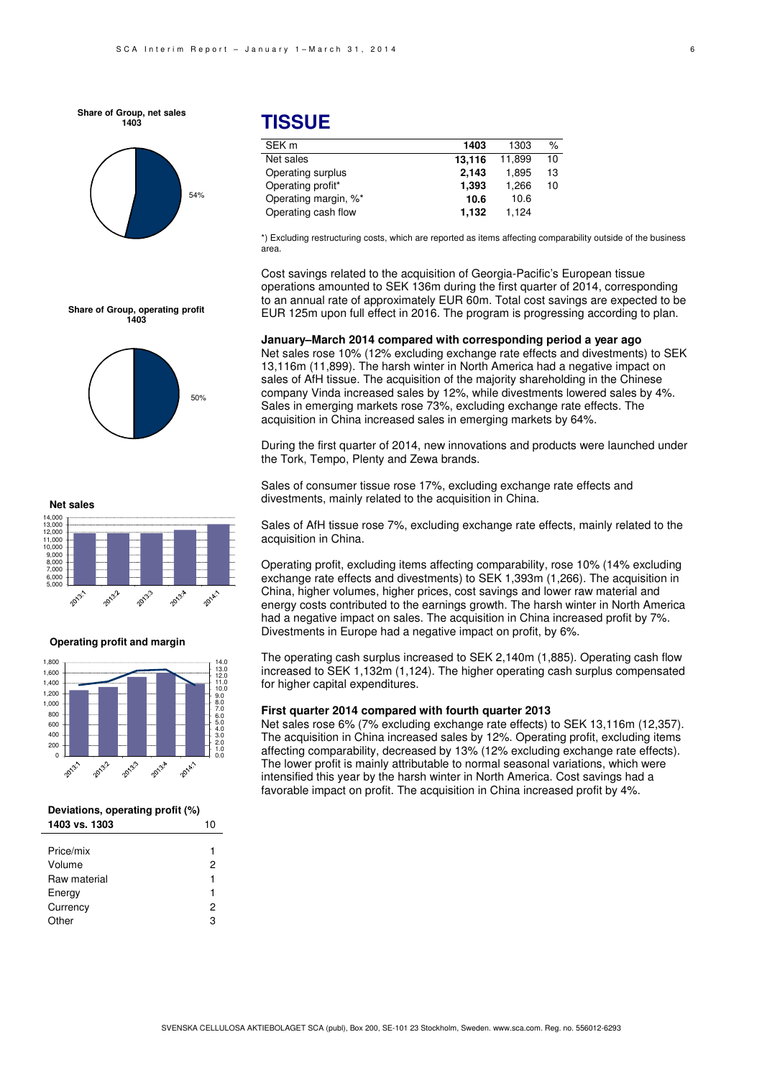**Share of Group, net sales 1403**



# **TISSUE**

| SEK <sub>m</sub>     | 1403   | 1303   | %  |
|----------------------|--------|--------|----|
| Net sales            | 13.116 | 11.899 | 10 |
| Operating surplus    | 2.143  | 1.895  | 13 |
| Operating profit*    | 1,393  | 1.266  | 10 |
| Operating margin, %* | 10.6   | 10.6   |    |
| Operating cash flow  | 1.132  | 1.124  |    |
|                      |        |        |    |

\*) Excluding restructuring costs, which are reported as items affecting comparability outside of the business area.

Cost savings related to the acquisition of Georgia-Pacific's European tissue operations amounted to SEK 136m during the first quarter of 2014, corresponding to an annual rate of approximately EUR 60m. Total cost savings are expected to be EUR 125m upon full effect in 2016. The program is progressing according to plan.

**January–March 2014 compared with corresponding period a year ago**  Net sales rose 10% (12% excluding exchange rate effects and divestments) to SEK 13,116m (11,899). The harsh winter in North America had a negative impact on sales of AfH tissue. The acquisition of the majority shareholding in the Chinese company Vinda increased sales by 12%, while divestments lowered sales by 4%. Sales in emerging markets rose 73%, excluding exchange rate effects. The acquisition in China increased sales in emerging markets by 64%.

During the first quarter of 2014, new innovations and products were launched under the Tork, Tempo, Plenty and Zewa brands.

Sales of consumer tissue rose 17%, excluding exchange rate effects and divestments, mainly related to the acquisition in China.

Sales of AfH tissue rose 7%, excluding exchange rate effects, mainly related to the acquisition in China.

Operating profit, excluding items affecting comparability, rose 10% (14% excluding exchange rate effects and divestments) to SEK 1,393m (1,266). The acquisition in China, higher volumes, higher prices, cost savings and lower raw material and energy costs contributed to the earnings growth. The harsh winter in North America had a negative impact on sales. The acquisition in China increased profit by 7%. Divestments in Europe had a negative impact on profit, by 6%.

The operating cash surplus increased to SEK 2,140m (1,885). Operating cash flow increased to SEK 1,132m (1,124). The higher operating cash surplus compensated for higher capital expenditures.

#### **First quarter 2014 compared with fourth quarter 2013**

Net sales rose 6% (7% excluding exchange rate effects) to SEK 13,116m (12,357). The acquisition in China increased sales by 12%. Operating profit, excluding items affecting comparability, decreased by 13% (12% excluding exchange rate effects). The lower profit is mainly attributable to normal seasonal variations, which were intensified this year by the harsh winter in North America. Cost savings had a favorable impact on profit. The acquisition in China increased profit by 4%.







#### **Operating profit and margin**



| Deviations, operating profit (%) |    |
|----------------------------------|----|
| 1403 vs. 1303                    | 10 |

| Price/mix    | 1 |
|--------------|---|
| Volume       | 2 |
| Raw material | 1 |
| Energy       | 1 |
| Currency     | 2 |
| Other        | з |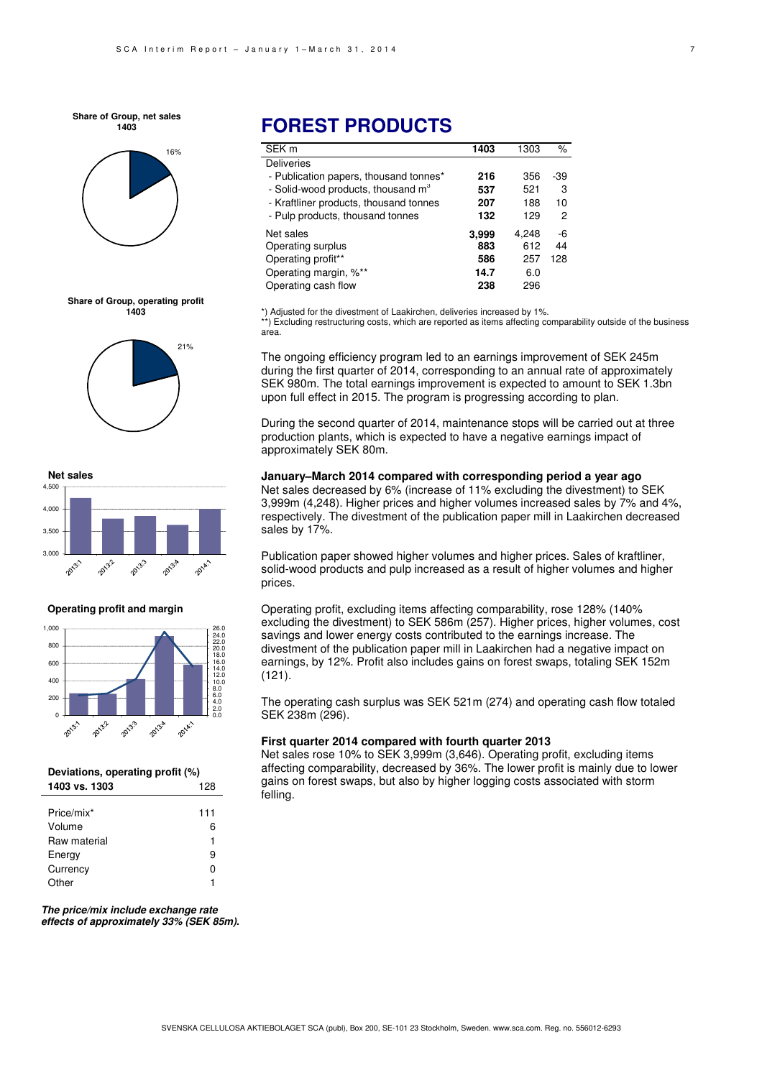**Share of Group, net sales 1403**



#### **Share of Group, operating profit 1403**





#### **Operating profit and margin**



#### **Deviations, operating profit (%) 1403 vs. 1303** 128

| Price/mix*   | 111 |
|--------------|-----|
| Volume       | 6   |
| Raw material | 1   |
| Energy       | 9   |
| Currency     |     |
| Other        |     |

**The price/mix include exchange rate effects of approximately 33% (SEK 85m).** 

## **FOREST PRODUCTS**

| SEK <sub>m</sub>                       | 1403  | 1303  | $\%$ |
|----------------------------------------|-------|-------|------|
| Deliveries                             |       |       |      |
| - Publication papers, thousand tonnes* | 216   | 356   | -39  |
| - Solid-wood products, thousand $m3$   | 537   | 521   | 3    |
| - Kraftliner products, thousand tonnes | 207   | 188   | 10   |
| - Pulp products, thousand tonnes       | 132   | 129   | 2    |
| Net sales                              | 3,999 | 4.248 | -6   |
| Operating surplus                      | 883   | 612   | 44   |
| Operating profit**                     | 586   | 257   | 128  |
| Operating margin, %**                  | 14.7  | 6.0   |      |
| Operating cash flow                    | 238   | 296   |      |

\*) Adjusted for the divestment of Laakirchen, deliveries increased by 1%. \*\*) Excluding restructuring costs, which are reported as items affecting comparability outside of the business area.

The ongoing efficiency program led to an earnings improvement of SEK 245m during the first quarter of 2014, corresponding to an annual rate of approximately SEK 980m. The total earnings improvement is expected to amount to SEK 1.3bn upon full effect in 2015. The program is progressing according to plan.

During the second quarter of 2014, maintenance stops will be carried out at three production plants, which is expected to have a negative earnings impact of approximately SEK 80m.

#### **January–March 2014 compared with corresponding period a year ago**

Net sales decreased by 6% (increase of 11% excluding the divestment) to SEK 3,999m (4,248). Higher prices and higher volumes increased sales by 7% and 4%, respectively. The divestment of the publication paper mill in Laakirchen decreased sales by 17%.

Publication paper showed higher volumes and higher prices. Sales of kraftliner, solid-wood products and pulp increased as a result of higher volumes and higher prices.

Operating profit, excluding items affecting comparability, rose 128% (140% excluding the divestment) to SEK 586m (257). Higher prices, higher volumes, cost savings and lower energy costs contributed to the earnings increase. The divestment of the publication paper mill in Laakirchen had a negative impact on earnings, by 12%. Profit also includes gains on forest swaps, totaling SEK 152m (121).

The operating cash surplus was SEK 521m (274) and operating cash flow totaled SEK 238m (296).

#### **First quarter 2014 compared with fourth quarter 2013**

Net sales rose 10% to SEK 3,999m (3,646). Operating profit, excluding items affecting comparability, decreased by 36%. The lower profit is mainly due to lower gains on forest swaps, but also by higher logging costs associated with storm felling.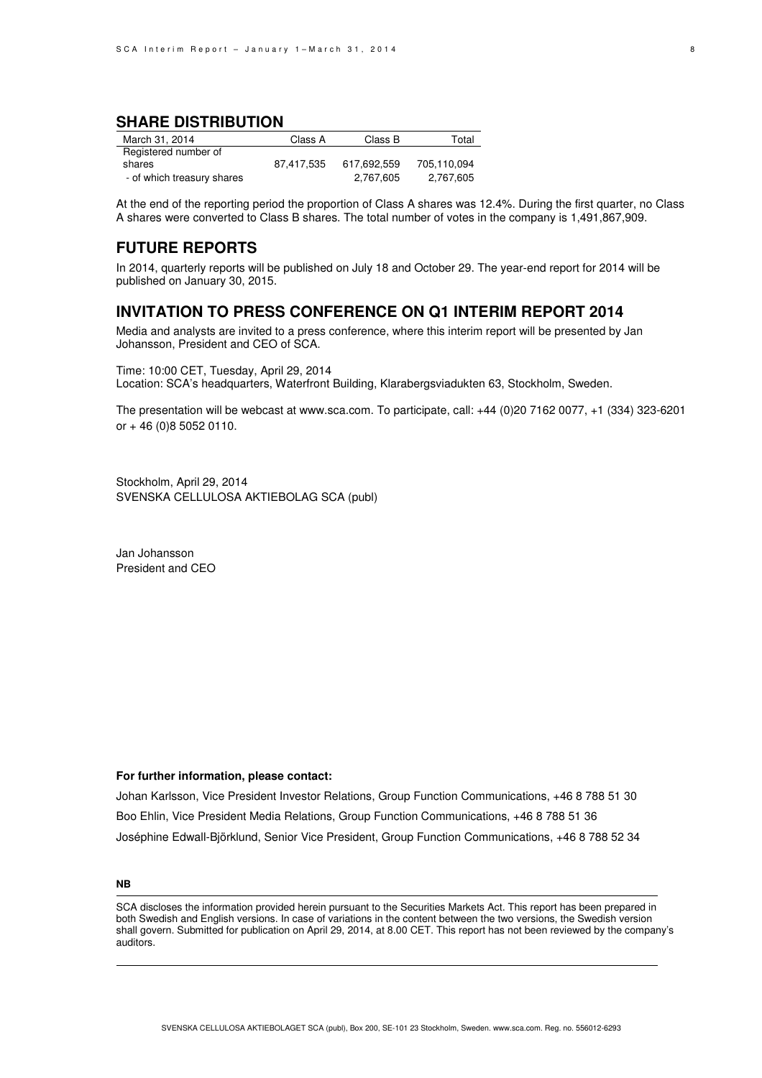## **SHARE DISTRIBUTION**

| March 31, 2014             | Class A    | Class B     | Total       |
|----------------------------|------------|-------------|-------------|
| Registered number of       |            |             |             |
| shares                     | 87.417.535 | 617.692.559 | 705.110.094 |
| - of which treasury shares |            | 2,767,605   | 2,767,605   |

At the end of the reporting period the proportion of Class A shares was 12.4%. During the first quarter, no Class A shares were converted to Class B shares. The total number of votes in the company is 1,491,867,909.

## **FUTURE REPORTS**

In 2014, quarterly reports will be published on July 18 and October 29. The year-end report for 2014 will be published on January 30, 2015.

## **INVITATION TO PRESS CONFERENCE ON Q1 INTERIM REPORT 2014**

Media and analysts are invited to a press conference, where this interim report will be presented by Jan Johansson, President and CEO of SCA.

Time: 10:00 CET, Tuesday, April 29, 2014 Location: SCA's headquarters, Waterfront Building, Klarabergsviadukten 63, Stockholm, Sweden.

The presentation will be webcast at www.sca.com. To participate, call: +44 (0)20 7162 0077, +1 (334) 323-6201 or + 46 (0)8 5052 0110.

Stockholm, April 29, 2014 SVENSKA CELLULOSA AKTIEBOLAG SCA (publ)

Jan Johansson President and CEO

#### **For further information, please contact:**

Johan Karlsson, Vice President Investor Relations, Group Function Communications, +46 8 788 51 30 Boo Ehlin, Vice President Media Relations, Group Function Communications, +46 8 788 51 36 Joséphine Edwall-Björklund, Senior Vice President, Group Function Communications, +46 8 788 52 34

#### **NB**

SCA discloses the information provided herein pursuant to the Securities Markets Act. This report has been prepared in both Swedish and English versions. In case of variations in the content between the two versions, the Swedish version shall govern. Submitted for publication on April 29, 2014, at 8.00 CET. This report has not been reviewed by the company's auditors.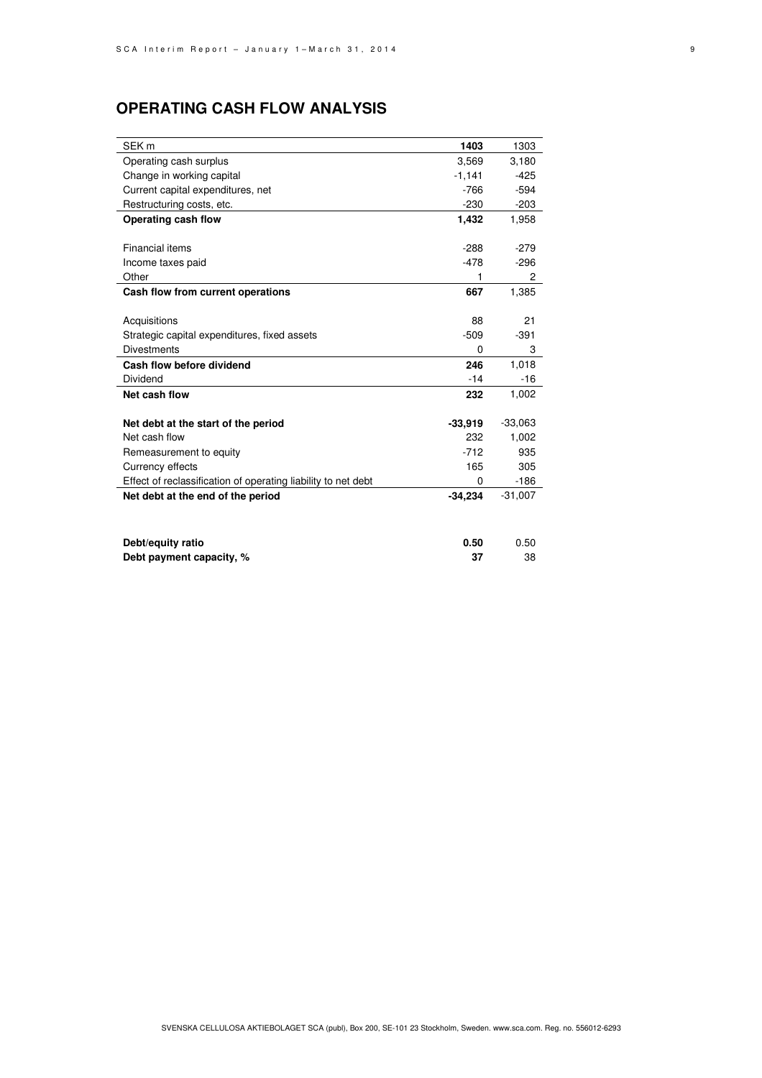# **OPERATING CASH FLOW ANALYSIS**

| SEK <sub>m</sub>                                              | 1403      | 1303      |
|---------------------------------------------------------------|-----------|-----------|
| Operating cash surplus                                        | 3,569     | 3,180     |
| Change in working capital                                     | $-1,141$  | $-425$    |
| Current capital expenditures, net                             | $-766$    | $-594$    |
| Restructuring costs, etc.                                     | $-230$    | $-203$    |
| Operating cash flow                                           | 1,432     | 1,958     |
|                                                               |           |           |
| <b>Financial items</b>                                        | $-288$    | $-279$    |
| Income taxes paid                                             | $-478$    | $-296$    |
| Other                                                         | 1         | 2         |
| Cash flow from current operations                             | 667       | 1,385     |
|                                                               |           |           |
| Acquisitions                                                  | 88        | 21        |
| Strategic capital expenditures, fixed assets                  | $-509$    | $-391$    |
| <b>Divestments</b>                                            | 0         | 3         |
| Cash flow before dividend                                     | 246       | 1,018     |
| Dividend                                                      | $-14$     | $-16$     |
| Net cash flow                                                 | 232       | 1,002     |
|                                                               |           |           |
| Net debt at the start of the period                           | $-33,919$ | $-33,063$ |
| Net cash flow                                                 | 232       | 1,002     |
| Remeasurement to equity                                       | $-712$    | 935       |
| Currency effects                                              | 165       | 305       |
| Effect of reclassification of operating liability to net debt | 0         | $-186$    |
| Net debt at the end of the period                             | $-34,234$ | $-31,007$ |
|                                                               |           |           |
|                                                               |           |           |
| Debt/equity ratio                                             | 0.50      | 0.50      |

**Debt payment capacity, % 37** 38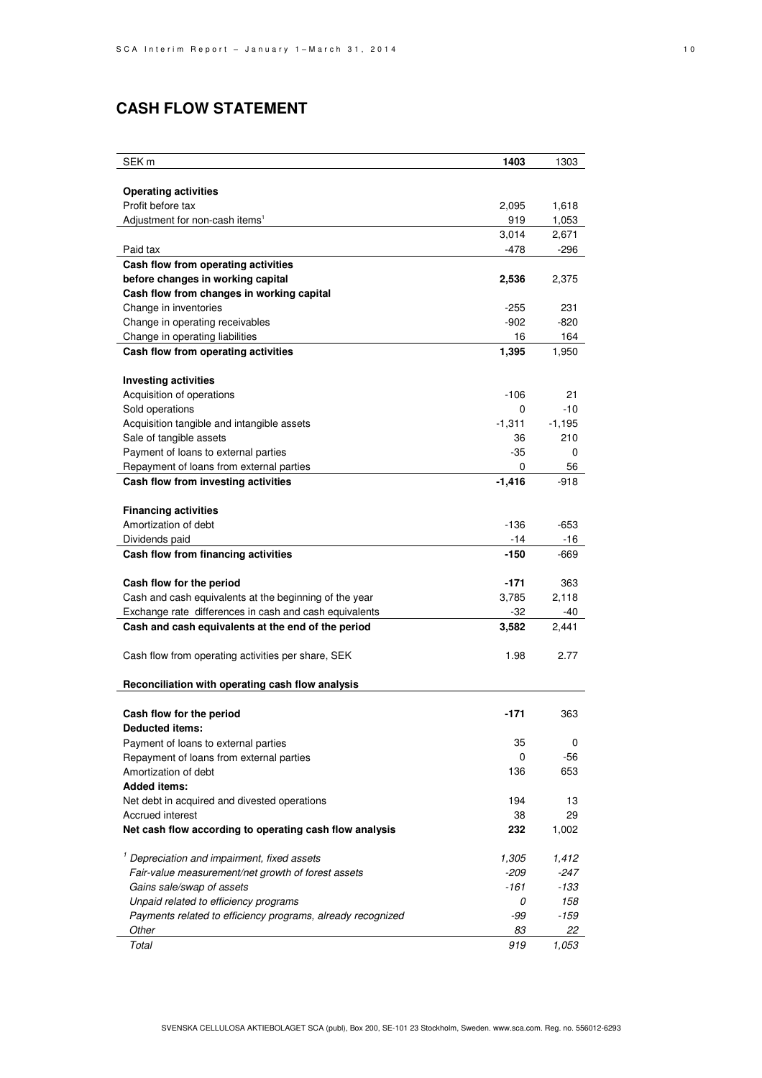# **CASH FLOW STATEMENT**

| <b>Operating activities</b><br>Profit before tax<br>2,095<br>1,618<br>Adjustment for non-cash items <sup>1</sup><br>919<br>1,053<br>3,014<br>2,671<br>$-478$<br>-296<br>Paid tax<br>Cash flow from operating activities<br>before changes in working capital<br>2,536<br>2,375<br>Cash flow from changes in working capital<br>Change in inventories<br>$-255$<br>231<br>Change in operating receivables<br>$-820$<br>-902<br>164<br>Change in operating liabilities<br>16<br>1,395<br>Cash flow from operating activities<br>1,950<br><b>Investing activities</b><br>Acquisition of operations<br>$-106$<br>21<br>Sold operations<br>0<br>$-10$<br>Acquisition tangible and intangible assets<br>$-1,311$<br>$-1,195$<br>Sale of tangible assets<br>210<br>36<br>Payment of loans to external parties<br>$-35$<br>0<br>Repayment of loans from external parties<br>0<br>56<br>Cash flow from investing activities<br>$-1,416$<br>$-918$<br><b>Financing activities</b><br>Amortization of debt<br>$-136$<br>$-653$<br>Dividends paid<br>$-14$<br>-16<br>Cash flow from financing activities<br>$-150$<br>-669<br>$-171$<br>Cash flow for the period<br>363<br>Cash and cash equivalents at the beginning of the year<br>3,785<br>2,118<br>Exchange rate differences in cash and cash equivalents<br>$-32$<br>-40<br>Cash and cash equivalents at the end of the period<br>3,582<br>2,441<br>1.98<br>2.77<br>Cash flow from operating activities per share, SEK<br>Reconciliation with operating cash flow analysis<br>Cash flow for the period<br>$-171$<br>363<br><b>Deducted items:</b><br>Payment of loans to external parties<br>35<br>0<br>-56<br>Repayment of loans from external parties<br>0<br>Amortization of debt<br>653<br>136<br><b>Added items:</b><br>13<br>Net debt in acquired and divested operations<br>194<br>38<br>29<br>Accrued interest<br>Net cash flow according to operating cash flow analysis<br>232<br>1,002<br><sup>1</sup> Depreciation and impairment, fixed assets<br>1,305<br>1,412<br>Fair-value measurement/net growth of forest assets<br>$-209$<br>-247<br>-161<br>-133<br>Gains sale/swap of assets<br>Unpaid related to efficiency programs<br>0<br>158<br>Payments related to efficiency programs, already recognized<br>-99<br>-159<br>Other<br>83<br>22<br>Total<br>919<br>1,053 | SEK m | 1403 | 1303 |
|------------------------------------------------------------------------------------------------------------------------------------------------------------------------------------------------------------------------------------------------------------------------------------------------------------------------------------------------------------------------------------------------------------------------------------------------------------------------------------------------------------------------------------------------------------------------------------------------------------------------------------------------------------------------------------------------------------------------------------------------------------------------------------------------------------------------------------------------------------------------------------------------------------------------------------------------------------------------------------------------------------------------------------------------------------------------------------------------------------------------------------------------------------------------------------------------------------------------------------------------------------------------------------------------------------------------------------------------------------------------------------------------------------------------------------------------------------------------------------------------------------------------------------------------------------------------------------------------------------------------------------------------------------------------------------------------------------------------------------------------------------------------------------------------------------------------------------------------------------------------------------------------------------------------------------------------------------------------------------------------------------------------------------------------------------------------------------------------------------------------------------------------------------------------------------------------------------------------------------------------------------------------------------------------------------------------------|-------|------|------|
|                                                                                                                                                                                                                                                                                                                                                                                                                                                                                                                                                                                                                                                                                                                                                                                                                                                                                                                                                                                                                                                                                                                                                                                                                                                                                                                                                                                                                                                                                                                                                                                                                                                                                                                                                                                                                                                                                                                                                                                                                                                                                                                                                                                                                                                                                                                              |       |      |      |
|                                                                                                                                                                                                                                                                                                                                                                                                                                                                                                                                                                                                                                                                                                                                                                                                                                                                                                                                                                                                                                                                                                                                                                                                                                                                                                                                                                                                                                                                                                                                                                                                                                                                                                                                                                                                                                                                                                                                                                                                                                                                                                                                                                                                                                                                                                                              |       |      |      |
|                                                                                                                                                                                                                                                                                                                                                                                                                                                                                                                                                                                                                                                                                                                                                                                                                                                                                                                                                                                                                                                                                                                                                                                                                                                                                                                                                                                                                                                                                                                                                                                                                                                                                                                                                                                                                                                                                                                                                                                                                                                                                                                                                                                                                                                                                                                              |       |      |      |
|                                                                                                                                                                                                                                                                                                                                                                                                                                                                                                                                                                                                                                                                                                                                                                                                                                                                                                                                                                                                                                                                                                                                                                                                                                                                                                                                                                                                                                                                                                                                                                                                                                                                                                                                                                                                                                                                                                                                                                                                                                                                                                                                                                                                                                                                                                                              |       |      |      |
|                                                                                                                                                                                                                                                                                                                                                                                                                                                                                                                                                                                                                                                                                                                                                                                                                                                                                                                                                                                                                                                                                                                                                                                                                                                                                                                                                                                                                                                                                                                                                                                                                                                                                                                                                                                                                                                                                                                                                                                                                                                                                                                                                                                                                                                                                                                              |       |      |      |
|                                                                                                                                                                                                                                                                                                                                                                                                                                                                                                                                                                                                                                                                                                                                                                                                                                                                                                                                                                                                                                                                                                                                                                                                                                                                                                                                                                                                                                                                                                                                                                                                                                                                                                                                                                                                                                                                                                                                                                                                                                                                                                                                                                                                                                                                                                                              |       |      |      |
|                                                                                                                                                                                                                                                                                                                                                                                                                                                                                                                                                                                                                                                                                                                                                                                                                                                                                                                                                                                                                                                                                                                                                                                                                                                                                                                                                                                                                                                                                                                                                                                                                                                                                                                                                                                                                                                                                                                                                                                                                                                                                                                                                                                                                                                                                                                              |       |      |      |
|                                                                                                                                                                                                                                                                                                                                                                                                                                                                                                                                                                                                                                                                                                                                                                                                                                                                                                                                                                                                                                                                                                                                                                                                                                                                                                                                                                                                                                                                                                                                                                                                                                                                                                                                                                                                                                                                                                                                                                                                                                                                                                                                                                                                                                                                                                                              |       |      |      |
|                                                                                                                                                                                                                                                                                                                                                                                                                                                                                                                                                                                                                                                                                                                                                                                                                                                                                                                                                                                                                                                                                                                                                                                                                                                                                                                                                                                                                                                                                                                                                                                                                                                                                                                                                                                                                                                                                                                                                                                                                                                                                                                                                                                                                                                                                                                              |       |      |      |
|                                                                                                                                                                                                                                                                                                                                                                                                                                                                                                                                                                                                                                                                                                                                                                                                                                                                                                                                                                                                                                                                                                                                                                                                                                                                                                                                                                                                                                                                                                                                                                                                                                                                                                                                                                                                                                                                                                                                                                                                                                                                                                                                                                                                                                                                                                                              |       |      |      |
|                                                                                                                                                                                                                                                                                                                                                                                                                                                                                                                                                                                                                                                                                                                                                                                                                                                                                                                                                                                                                                                                                                                                                                                                                                                                                                                                                                                                                                                                                                                                                                                                                                                                                                                                                                                                                                                                                                                                                                                                                                                                                                                                                                                                                                                                                                                              |       |      |      |
|                                                                                                                                                                                                                                                                                                                                                                                                                                                                                                                                                                                                                                                                                                                                                                                                                                                                                                                                                                                                                                                                                                                                                                                                                                                                                                                                                                                                                                                                                                                                                                                                                                                                                                                                                                                                                                                                                                                                                                                                                                                                                                                                                                                                                                                                                                                              |       |      |      |
|                                                                                                                                                                                                                                                                                                                                                                                                                                                                                                                                                                                                                                                                                                                                                                                                                                                                                                                                                                                                                                                                                                                                                                                                                                                                                                                                                                                                                                                                                                                                                                                                                                                                                                                                                                                                                                                                                                                                                                                                                                                                                                                                                                                                                                                                                                                              |       |      |      |
|                                                                                                                                                                                                                                                                                                                                                                                                                                                                                                                                                                                                                                                                                                                                                                                                                                                                                                                                                                                                                                                                                                                                                                                                                                                                                                                                                                                                                                                                                                                                                                                                                                                                                                                                                                                                                                                                                                                                                                                                                                                                                                                                                                                                                                                                                                                              |       |      |      |
|                                                                                                                                                                                                                                                                                                                                                                                                                                                                                                                                                                                                                                                                                                                                                                                                                                                                                                                                                                                                                                                                                                                                                                                                                                                                                                                                                                                                                                                                                                                                                                                                                                                                                                                                                                                                                                                                                                                                                                                                                                                                                                                                                                                                                                                                                                                              |       |      |      |
|                                                                                                                                                                                                                                                                                                                                                                                                                                                                                                                                                                                                                                                                                                                                                                                                                                                                                                                                                                                                                                                                                                                                                                                                                                                                                                                                                                                                                                                                                                                                                                                                                                                                                                                                                                                                                                                                                                                                                                                                                                                                                                                                                                                                                                                                                                                              |       |      |      |
|                                                                                                                                                                                                                                                                                                                                                                                                                                                                                                                                                                                                                                                                                                                                                                                                                                                                                                                                                                                                                                                                                                                                                                                                                                                                                                                                                                                                                                                                                                                                                                                                                                                                                                                                                                                                                                                                                                                                                                                                                                                                                                                                                                                                                                                                                                                              |       |      |      |
|                                                                                                                                                                                                                                                                                                                                                                                                                                                                                                                                                                                                                                                                                                                                                                                                                                                                                                                                                                                                                                                                                                                                                                                                                                                                                                                                                                                                                                                                                                                                                                                                                                                                                                                                                                                                                                                                                                                                                                                                                                                                                                                                                                                                                                                                                                                              |       |      |      |
|                                                                                                                                                                                                                                                                                                                                                                                                                                                                                                                                                                                                                                                                                                                                                                                                                                                                                                                                                                                                                                                                                                                                                                                                                                                                                                                                                                                                                                                                                                                                                                                                                                                                                                                                                                                                                                                                                                                                                                                                                                                                                                                                                                                                                                                                                                                              |       |      |      |
|                                                                                                                                                                                                                                                                                                                                                                                                                                                                                                                                                                                                                                                                                                                                                                                                                                                                                                                                                                                                                                                                                                                                                                                                                                                                                                                                                                                                                                                                                                                                                                                                                                                                                                                                                                                                                                                                                                                                                                                                                                                                                                                                                                                                                                                                                                                              |       |      |      |
|                                                                                                                                                                                                                                                                                                                                                                                                                                                                                                                                                                                                                                                                                                                                                                                                                                                                                                                                                                                                                                                                                                                                                                                                                                                                                                                                                                                                                                                                                                                                                                                                                                                                                                                                                                                                                                                                                                                                                                                                                                                                                                                                                                                                                                                                                                                              |       |      |      |
|                                                                                                                                                                                                                                                                                                                                                                                                                                                                                                                                                                                                                                                                                                                                                                                                                                                                                                                                                                                                                                                                                                                                                                                                                                                                                                                                                                                                                                                                                                                                                                                                                                                                                                                                                                                                                                                                                                                                                                                                                                                                                                                                                                                                                                                                                                                              |       |      |      |
|                                                                                                                                                                                                                                                                                                                                                                                                                                                                                                                                                                                                                                                                                                                                                                                                                                                                                                                                                                                                                                                                                                                                                                                                                                                                                                                                                                                                                                                                                                                                                                                                                                                                                                                                                                                                                                                                                                                                                                                                                                                                                                                                                                                                                                                                                                                              |       |      |      |
|                                                                                                                                                                                                                                                                                                                                                                                                                                                                                                                                                                                                                                                                                                                                                                                                                                                                                                                                                                                                                                                                                                                                                                                                                                                                                                                                                                                                                                                                                                                                                                                                                                                                                                                                                                                                                                                                                                                                                                                                                                                                                                                                                                                                                                                                                                                              |       |      |      |
|                                                                                                                                                                                                                                                                                                                                                                                                                                                                                                                                                                                                                                                                                                                                                                                                                                                                                                                                                                                                                                                                                                                                                                                                                                                                                                                                                                                                                                                                                                                                                                                                                                                                                                                                                                                                                                                                                                                                                                                                                                                                                                                                                                                                                                                                                                                              |       |      |      |
|                                                                                                                                                                                                                                                                                                                                                                                                                                                                                                                                                                                                                                                                                                                                                                                                                                                                                                                                                                                                                                                                                                                                                                                                                                                                                                                                                                                                                                                                                                                                                                                                                                                                                                                                                                                                                                                                                                                                                                                                                                                                                                                                                                                                                                                                                                                              |       |      |      |
|                                                                                                                                                                                                                                                                                                                                                                                                                                                                                                                                                                                                                                                                                                                                                                                                                                                                                                                                                                                                                                                                                                                                                                                                                                                                                                                                                                                                                                                                                                                                                                                                                                                                                                                                                                                                                                                                                                                                                                                                                                                                                                                                                                                                                                                                                                                              |       |      |      |
|                                                                                                                                                                                                                                                                                                                                                                                                                                                                                                                                                                                                                                                                                                                                                                                                                                                                                                                                                                                                                                                                                                                                                                                                                                                                                                                                                                                                                                                                                                                                                                                                                                                                                                                                                                                                                                                                                                                                                                                                                                                                                                                                                                                                                                                                                                                              |       |      |      |
|                                                                                                                                                                                                                                                                                                                                                                                                                                                                                                                                                                                                                                                                                                                                                                                                                                                                                                                                                                                                                                                                                                                                                                                                                                                                                                                                                                                                                                                                                                                                                                                                                                                                                                                                                                                                                                                                                                                                                                                                                                                                                                                                                                                                                                                                                                                              |       |      |      |
|                                                                                                                                                                                                                                                                                                                                                                                                                                                                                                                                                                                                                                                                                                                                                                                                                                                                                                                                                                                                                                                                                                                                                                                                                                                                                                                                                                                                                                                                                                                                                                                                                                                                                                                                                                                                                                                                                                                                                                                                                                                                                                                                                                                                                                                                                                                              |       |      |      |
|                                                                                                                                                                                                                                                                                                                                                                                                                                                                                                                                                                                                                                                                                                                                                                                                                                                                                                                                                                                                                                                                                                                                                                                                                                                                                                                                                                                                                                                                                                                                                                                                                                                                                                                                                                                                                                                                                                                                                                                                                                                                                                                                                                                                                                                                                                                              |       |      |      |
|                                                                                                                                                                                                                                                                                                                                                                                                                                                                                                                                                                                                                                                                                                                                                                                                                                                                                                                                                                                                                                                                                                                                                                                                                                                                                                                                                                                                                                                                                                                                                                                                                                                                                                                                                                                                                                                                                                                                                                                                                                                                                                                                                                                                                                                                                                                              |       |      |      |
|                                                                                                                                                                                                                                                                                                                                                                                                                                                                                                                                                                                                                                                                                                                                                                                                                                                                                                                                                                                                                                                                                                                                                                                                                                                                                                                                                                                                                                                                                                                                                                                                                                                                                                                                                                                                                                                                                                                                                                                                                                                                                                                                                                                                                                                                                                                              |       |      |      |
|                                                                                                                                                                                                                                                                                                                                                                                                                                                                                                                                                                                                                                                                                                                                                                                                                                                                                                                                                                                                                                                                                                                                                                                                                                                                                                                                                                                                                                                                                                                                                                                                                                                                                                                                                                                                                                                                                                                                                                                                                                                                                                                                                                                                                                                                                                                              |       |      |      |
|                                                                                                                                                                                                                                                                                                                                                                                                                                                                                                                                                                                                                                                                                                                                                                                                                                                                                                                                                                                                                                                                                                                                                                                                                                                                                                                                                                                                                                                                                                                                                                                                                                                                                                                                                                                                                                                                                                                                                                                                                                                                                                                                                                                                                                                                                                                              |       |      |      |
|                                                                                                                                                                                                                                                                                                                                                                                                                                                                                                                                                                                                                                                                                                                                                                                                                                                                                                                                                                                                                                                                                                                                                                                                                                                                                                                                                                                                                                                                                                                                                                                                                                                                                                                                                                                                                                                                                                                                                                                                                                                                                                                                                                                                                                                                                                                              |       |      |      |
|                                                                                                                                                                                                                                                                                                                                                                                                                                                                                                                                                                                                                                                                                                                                                                                                                                                                                                                                                                                                                                                                                                                                                                                                                                                                                                                                                                                                                                                                                                                                                                                                                                                                                                                                                                                                                                                                                                                                                                                                                                                                                                                                                                                                                                                                                                                              |       |      |      |
|                                                                                                                                                                                                                                                                                                                                                                                                                                                                                                                                                                                                                                                                                                                                                                                                                                                                                                                                                                                                                                                                                                                                                                                                                                                                                                                                                                                                                                                                                                                                                                                                                                                                                                                                                                                                                                                                                                                                                                                                                                                                                                                                                                                                                                                                                                                              |       |      |      |
|                                                                                                                                                                                                                                                                                                                                                                                                                                                                                                                                                                                                                                                                                                                                                                                                                                                                                                                                                                                                                                                                                                                                                                                                                                                                                                                                                                                                                                                                                                                                                                                                                                                                                                                                                                                                                                                                                                                                                                                                                                                                                                                                                                                                                                                                                                                              |       |      |      |
|                                                                                                                                                                                                                                                                                                                                                                                                                                                                                                                                                                                                                                                                                                                                                                                                                                                                                                                                                                                                                                                                                                                                                                                                                                                                                                                                                                                                                                                                                                                                                                                                                                                                                                                                                                                                                                                                                                                                                                                                                                                                                                                                                                                                                                                                                                                              |       |      |      |
|                                                                                                                                                                                                                                                                                                                                                                                                                                                                                                                                                                                                                                                                                                                                                                                                                                                                                                                                                                                                                                                                                                                                                                                                                                                                                                                                                                                                                                                                                                                                                                                                                                                                                                                                                                                                                                                                                                                                                                                                                                                                                                                                                                                                                                                                                                                              |       |      |      |
|                                                                                                                                                                                                                                                                                                                                                                                                                                                                                                                                                                                                                                                                                                                                                                                                                                                                                                                                                                                                                                                                                                                                                                                                                                                                                                                                                                                                                                                                                                                                                                                                                                                                                                                                                                                                                                                                                                                                                                                                                                                                                                                                                                                                                                                                                                                              |       |      |      |
|                                                                                                                                                                                                                                                                                                                                                                                                                                                                                                                                                                                                                                                                                                                                                                                                                                                                                                                                                                                                                                                                                                                                                                                                                                                                                                                                                                                                                                                                                                                                                                                                                                                                                                                                                                                                                                                                                                                                                                                                                                                                                                                                                                                                                                                                                                                              |       |      |      |
|                                                                                                                                                                                                                                                                                                                                                                                                                                                                                                                                                                                                                                                                                                                                                                                                                                                                                                                                                                                                                                                                                                                                                                                                                                                                                                                                                                                                                                                                                                                                                                                                                                                                                                                                                                                                                                                                                                                                                                                                                                                                                                                                                                                                                                                                                                                              |       |      |      |
|                                                                                                                                                                                                                                                                                                                                                                                                                                                                                                                                                                                                                                                                                                                                                                                                                                                                                                                                                                                                                                                                                                                                                                                                                                                                                                                                                                                                                                                                                                                                                                                                                                                                                                                                                                                                                                                                                                                                                                                                                                                                                                                                                                                                                                                                                                                              |       |      |      |
|                                                                                                                                                                                                                                                                                                                                                                                                                                                                                                                                                                                                                                                                                                                                                                                                                                                                                                                                                                                                                                                                                                                                                                                                                                                                                                                                                                                                                                                                                                                                                                                                                                                                                                                                                                                                                                                                                                                                                                                                                                                                                                                                                                                                                                                                                                                              |       |      |      |
|                                                                                                                                                                                                                                                                                                                                                                                                                                                                                                                                                                                                                                                                                                                                                                                                                                                                                                                                                                                                                                                                                                                                                                                                                                                                                                                                                                                                                                                                                                                                                                                                                                                                                                                                                                                                                                                                                                                                                                                                                                                                                                                                                                                                                                                                                                                              |       |      |      |
|                                                                                                                                                                                                                                                                                                                                                                                                                                                                                                                                                                                                                                                                                                                                                                                                                                                                                                                                                                                                                                                                                                                                                                                                                                                                                                                                                                                                                                                                                                                                                                                                                                                                                                                                                                                                                                                                                                                                                                                                                                                                                                                                                                                                                                                                                                                              |       |      |      |
|                                                                                                                                                                                                                                                                                                                                                                                                                                                                                                                                                                                                                                                                                                                                                                                                                                                                                                                                                                                                                                                                                                                                                                                                                                                                                                                                                                                                                                                                                                                                                                                                                                                                                                                                                                                                                                                                                                                                                                                                                                                                                                                                                                                                                                                                                                                              |       |      |      |
|                                                                                                                                                                                                                                                                                                                                                                                                                                                                                                                                                                                                                                                                                                                                                                                                                                                                                                                                                                                                                                                                                                                                                                                                                                                                                                                                                                                                                                                                                                                                                                                                                                                                                                                                                                                                                                                                                                                                                                                                                                                                                                                                                                                                                                                                                                                              |       |      |      |
|                                                                                                                                                                                                                                                                                                                                                                                                                                                                                                                                                                                                                                                                                                                                                                                                                                                                                                                                                                                                                                                                                                                                                                                                                                                                                                                                                                                                                                                                                                                                                                                                                                                                                                                                                                                                                                                                                                                                                                                                                                                                                                                                                                                                                                                                                                                              |       |      |      |
|                                                                                                                                                                                                                                                                                                                                                                                                                                                                                                                                                                                                                                                                                                                                                                                                                                                                                                                                                                                                                                                                                                                                                                                                                                                                                                                                                                                                                                                                                                                                                                                                                                                                                                                                                                                                                                                                                                                                                                                                                                                                                                                                                                                                                                                                                                                              |       |      |      |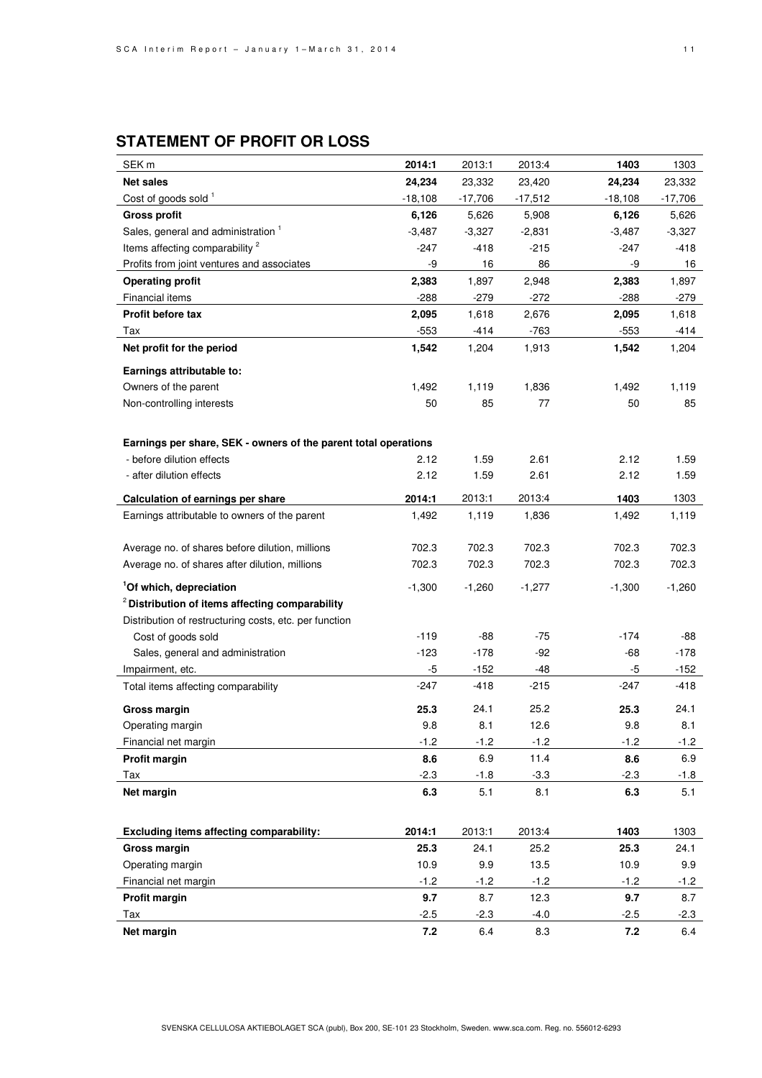# **STATEMENT OF PROFIT OR LOSS**

| SEK <sub>m</sub>                                                | 2014:1    | 2013:1    | 2013:4    | 1403      | 1303      |
|-----------------------------------------------------------------|-----------|-----------|-----------|-----------|-----------|
| <b>Net sales</b>                                                | 24,234    | 23,332    | 23,420    | 24,234    | 23,332    |
| Cost of goods sold <sup>1</sup>                                 | $-18,108$ | $-17,706$ | $-17,512$ | $-18,108$ | $-17,706$ |
| <b>Gross profit</b>                                             | 6,126     | 5,626     | 5,908     | 6,126     | 5,626     |
| Sales, general and administration <sup>1</sup>                  | $-3,487$  | $-3,327$  | $-2,831$  | $-3,487$  | $-3,327$  |
| Items affecting comparability <sup>2</sup>                      | $-247$    | $-418$    | $-215$    | -247      | $-418$    |
| Profits from joint ventures and associates                      | -9        | 16        | 86        | -9        | 16        |
| <b>Operating profit</b>                                         | 2,383     | 1,897     | 2,948     | 2,383     | 1,897     |
| Financial items                                                 | $-288$    | $-279$    | $-272$    | $-288$    | $-279$    |
| Profit before tax                                               | 2,095     | 1,618     | 2,676     | 2,095     | 1,618     |
| Tax                                                             | $-553$    | $-414$    | $-763$    | $-553$    | $-414$    |
| Net profit for the period                                       | 1,542     | 1,204     | 1,913     | 1,542     | 1,204     |
| Earnings attributable to:                                       |           |           |           |           |           |
| Owners of the parent                                            | 1,492     | 1,119     | 1,836     | 1,492     | 1,119     |
| Non-controlling interests                                       | 50        | 85        | 77        | 50        | 85        |
|                                                                 |           |           |           |           |           |
| Earnings per share, SEK - owners of the parent total operations |           |           |           |           |           |
| - before dilution effects                                       | 2.12      | 1.59      | 2.61      | 2.12      | 1.59      |
| - after dilution effects                                        | 2.12      | 1.59      | 2.61      | 2.12      | 1.59      |
|                                                                 |           |           |           |           |           |
| Calculation of earnings per share                               | 2014:1    | 2013:1    | 2013:4    | 1403      | 1303      |
| Earnings attributable to owners of the parent                   | 1,492     | 1,119     | 1,836     | 1,492     | 1,119     |
|                                                                 | 702.3     | 702.3     | 702.3     | 702.3     | 702.3     |
| Average no. of shares before dilution, millions                 | 702.3     | 702.3     | 702.3     | 702.3     | 702.3     |
| Average no. of shares after dilution, millions                  |           |           |           |           |           |
| <sup>1</sup> Of which, depreciation                             | $-1,300$  | -1,260    | $-1,277$  | $-1,300$  | $-1,260$  |
| <sup>2</sup> Distribution of items affecting comparability      |           |           |           |           |           |
| Distribution of restructuring costs, etc. per function          |           |           |           |           |           |
| Cost of goods sold                                              | $-119$    | $-88$     | -75       | $-174$    | -88       |
| Sales, general and administration                               | $-123$    | $-178$    | $-92$     | $-68$     | $-178$    |
| Impairment, etc.                                                | -5        | $-152$    | $-48$     | $-5$      | $-152$    |
| Total items affecting comparability                             | $-247$    | $-418$    | $-215$    | $-247$    | $-418$    |
| Gross margin                                                    | 25.3      | 24.1      | 25.2      | 25.3      | 24.1      |
| Operating margin                                                | 9.8       | 8.1       | 12.6      | 9.8       | 8.1       |
| Financial net margin                                            | $-1.2$    | $-1.2$    | $-1.2$    | $-1.2$    | $-1.2$    |
| Profit margin                                                   | 8.6       | 6.9       | 11.4      | 8.6       | 6.9       |
| Tax                                                             | $-2.3$    | -1.8      | $-3.3$    | $-2.3$    | $-1.8$    |
| Net margin                                                      | 6.3       | 5.1       | 8.1       | 6.3       | 5.1       |
|                                                                 |           |           |           |           |           |
| Excluding items affecting comparability:                        | 2014:1    | 2013:1    | 2013:4    | 1403      | 1303      |
| Gross margin                                                    | 25.3      | 24.1      | 25.2      | 25.3      | 24.1      |
| Operating margin                                                | 10.9      | 9.9       | 13.5      | 10.9      | 9.9       |
| Financial net margin                                            | $-1.2$    | $-1.2$    | $-1.2$    | $-1.2$    | $-1.2$    |
| Profit margin                                                   | 9.7       | 8.7       | 12.3      | 9.7       | 8.7       |
| Tax                                                             | $-2.5$    | $-2.3$    | $-4.0$    | $-2.5$    | -2.3      |
| Net margin                                                      | 7.2       | 6.4       | 8.3       | 7.2       | 6.4       |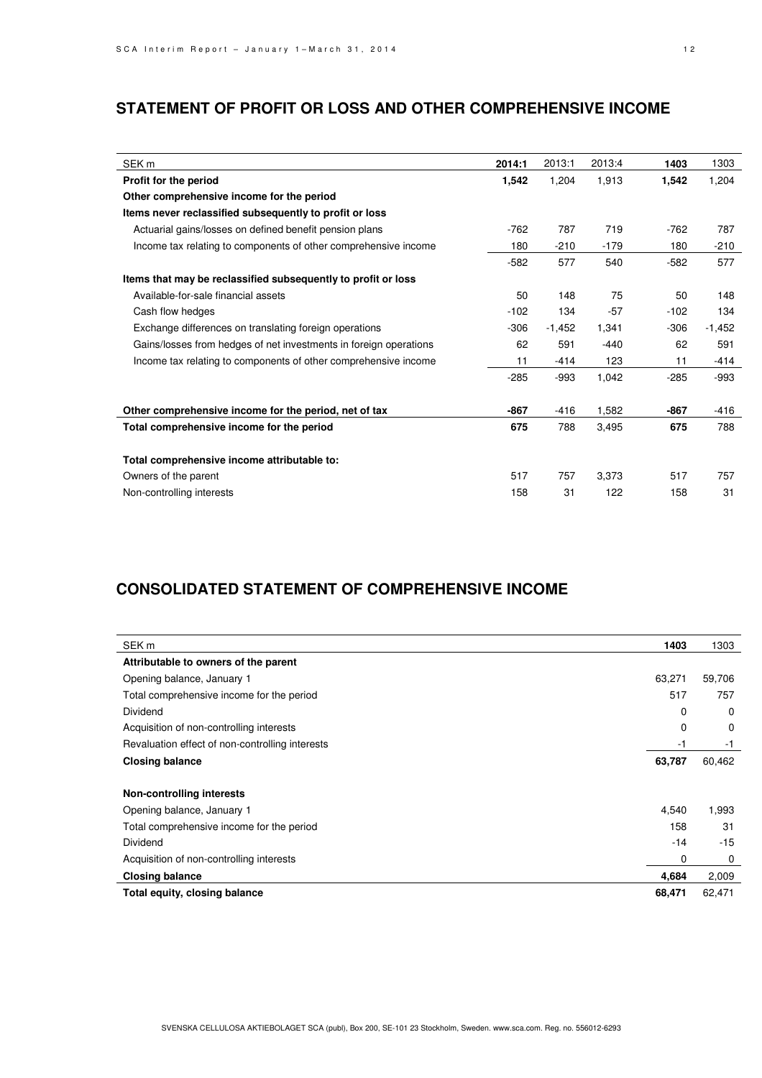## **STATEMENT OF PROFIT OR LOSS AND OTHER COMPREHENSIVE INCOME**

| SEK <sub>m</sub>                                                  | 2014:1 | 2013:1   | 2013:4 | 1403   | 1303     |
|-------------------------------------------------------------------|--------|----------|--------|--------|----------|
| Profit for the period                                             | 1,542  | 1,204    | 1,913  | 1,542  | 1,204    |
| Other comprehensive income for the period                         |        |          |        |        |          |
| Items never reclassified subsequently to profit or loss           |        |          |        |        |          |
| Actuarial gains/losses on defined benefit pension plans           | $-762$ | 787      | 719    | $-762$ | 787      |
| Income tax relating to components of other comprehensive income   | 180    | $-210$   | $-179$ | 180    | $-210$   |
|                                                                   | $-582$ | 577      | 540    | $-582$ | 577      |
| Items that may be reclassified subsequently to profit or loss     |        |          |        |        |          |
| Available-for-sale financial assets                               | 50     | 148      | 75     | 50     | 148      |
| Cash flow hedges                                                  | $-102$ | 134      | $-57$  | $-102$ | 134      |
| Exchange differences on translating foreign operations            | $-306$ | $-1,452$ | 1,341  | -306   | $-1,452$ |
| Gains/losses from hedges of net investments in foreign operations | 62     | 591      | $-440$ | 62     | 591      |
| Income tax relating to components of other comprehensive income   | 11     | $-414$   | 123    | 11     | -414     |
|                                                                   | $-285$ | $-993$   | 1,042  | $-285$ | -993     |
| Other comprehensive income for the period, net of tax             | $-867$ | $-416$   | 1,582  | $-867$ | -416     |
| Total comprehensive income for the period                         | 675    | 788      | 3,495  | 675    | 788      |
| Total comprehensive income attributable to:                       |        |          |        |        |          |
| Owners of the parent                                              | 517    | 757      | 3,373  | 517    | 757      |
| Non-controlling interests                                         | 158    | 31       | 122    | 158    | 31       |

## **CONSOLIDATED STATEMENT OF COMPREHENSIVE INCOME**

| SEK <sub>m</sub>                                | 1403   | 1303     |
|-------------------------------------------------|--------|----------|
| Attributable to owners of the parent            |        |          |
| Opening balance, January 1                      | 63,271 | 59,706   |
| Total comprehensive income for the period       | 517    | 757      |
| Dividend                                        | 0      | $\Omega$ |
| Acquisition of non-controlling interests        | 0      | 0        |
| Revaluation effect of non-controlling interests | -1     | -1       |
| <b>Closing balance</b>                          | 63,787 | 60,462   |
| Non-controlling interests                       |        |          |
| Opening balance, January 1                      | 4,540  | 1,993    |
| Total comprehensive income for the period       | 158    | 31       |
| Dividend                                        | $-14$  | $-15$    |
| Acquisition of non-controlling interests        | 0      | 0        |
| <b>Closing balance</b>                          | 4,684  | 2,009    |
| Total equity, closing balance                   | 68,471 | 62,471   |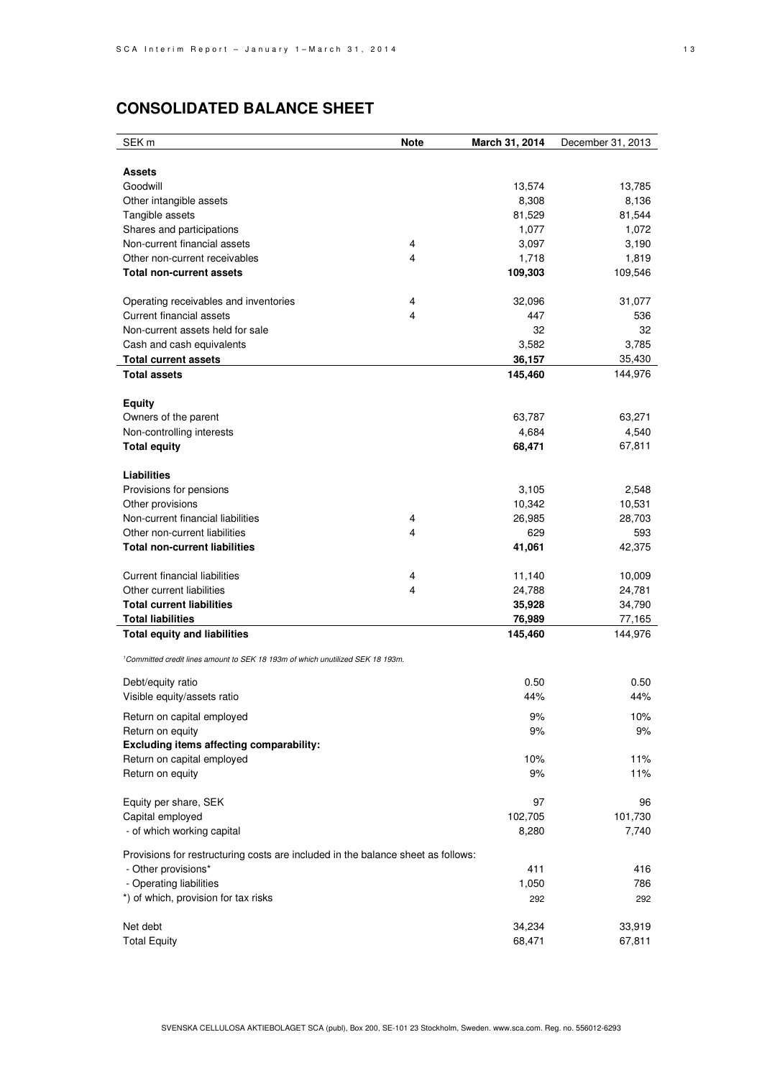# **CONSOLIDATED BALANCE SHEET**

| SEK <sub>m</sub>                                                                           | <b>Note</b> | March 31, 2014 | December 31, 2013 |
|--------------------------------------------------------------------------------------------|-------------|----------------|-------------------|
|                                                                                            |             |                |                   |
| Assets                                                                                     |             |                |                   |
| Goodwill                                                                                   |             | 13,574         | 13,785            |
| Other intangible assets                                                                    |             | 8,308          | 8,136             |
| Tangible assets                                                                            |             | 81,529         | 81,544            |
| Shares and participations                                                                  |             | 1,077          | 1,072             |
| Non-current financial assets                                                               | 4           | 3,097          | 3,190             |
| Other non-current receivables                                                              | 4           | 1,718          | 1,819             |
| <b>Total non-current assets</b>                                                            |             | 109,303        | 109,546           |
|                                                                                            |             |                |                   |
| Operating receivables and inventories<br>Current financial assets                          | 4<br>4      | 32,096<br>447  | 31,077<br>536     |
| Non-current assets held for sale                                                           |             | 32             | 32                |
| Cash and cash equivalents                                                                  |             | 3,582          | 3,785             |
| <b>Total current assets</b>                                                                |             | 36,157         | 35,430            |
| <b>Total assets</b>                                                                        |             | 145,460        | 144,976           |
|                                                                                            |             |                |                   |
| <b>Equity</b>                                                                              |             |                |                   |
| Owners of the parent                                                                       |             | 63,787         | 63,271            |
| Non-controlling interests                                                                  |             | 4,684          | 4,540             |
| <b>Total equity</b>                                                                        |             | 68,471         | 67,811            |
|                                                                                            |             |                |                   |
| <b>Liabilities</b>                                                                         |             |                |                   |
| Provisions for pensions                                                                    |             | 3,105          | 2,548             |
| Other provisions                                                                           |             | 10,342         | 10,531            |
| Non-current financial liabilities                                                          | 4           | 26,985         | 28,703            |
| Other non-current liabilities                                                              | 4           | 629            | 593               |
| Total non-current liabilities                                                              |             | 41,061         | 42,375            |
| Current financial liabilities                                                              | 4           | 11,140         | 10,009            |
| Other current liabilities                                                                  | 4           | 24,788         | 24,781            |
| <b>Total current liabilities</b>                                                           |             | 35,928         | 34,790            |
| <b>Total liabilities</b>                                                                   |             | 76,989         | 77,165            |
| <b>Total equity and liabilities</b>                                                        |             | 145,460        | 144,976           |
|                                                                                            |             |                |                   |
| <sup>1</sup> Committed credit lines amount to SEK 18 193m of which unutilized SEK 18 193m. |             |                |                   |
| Debt/equity ratio                                                                          |             | 0.50           | 0.50              |
| Visible equity/assets ratio                                                                |             | 44%            | 44%               |
|                                                                                            |             |                |                   |
| Return on capital employed                                                                 |             | 9%<br>9%       | 10%<br>9%         |
| Return on equity<br><b>Excluding items affecting comparability:</b>                        |             |                |                   |
| Return on capital employed                                                                 |             | 10%            | 11%               |
| Return on equity                                                                           |             | 9%             | 11%               |
|                                                                                            |             |                |                   |
| Equity per share, SEK                                                                      |             | 97             | 96                |
| Capital employed                                                                           |             | 102,705        | 101,730           |
| - of which working capital                                                                 |             | 8,280          | 7,740             |
|                                                                                            |             |                |                   |
| Provisions for restructuring costs are included in the balance sheet as follows:           |             |                |                   |
| - Other provisions*<br>- Operating liabilities                                             |             | 411<br>1,050   | 416<br>786        |
| *) of which, provision for tax risks                                                       |             | 292            | 292               |
|                                                                                            |             |                |                   |
| Net debt                                                                                   |             | 34,234         | 33,919            |
| <b>Total Equity</b>                                                                        |             | 68,471         | 67,811            |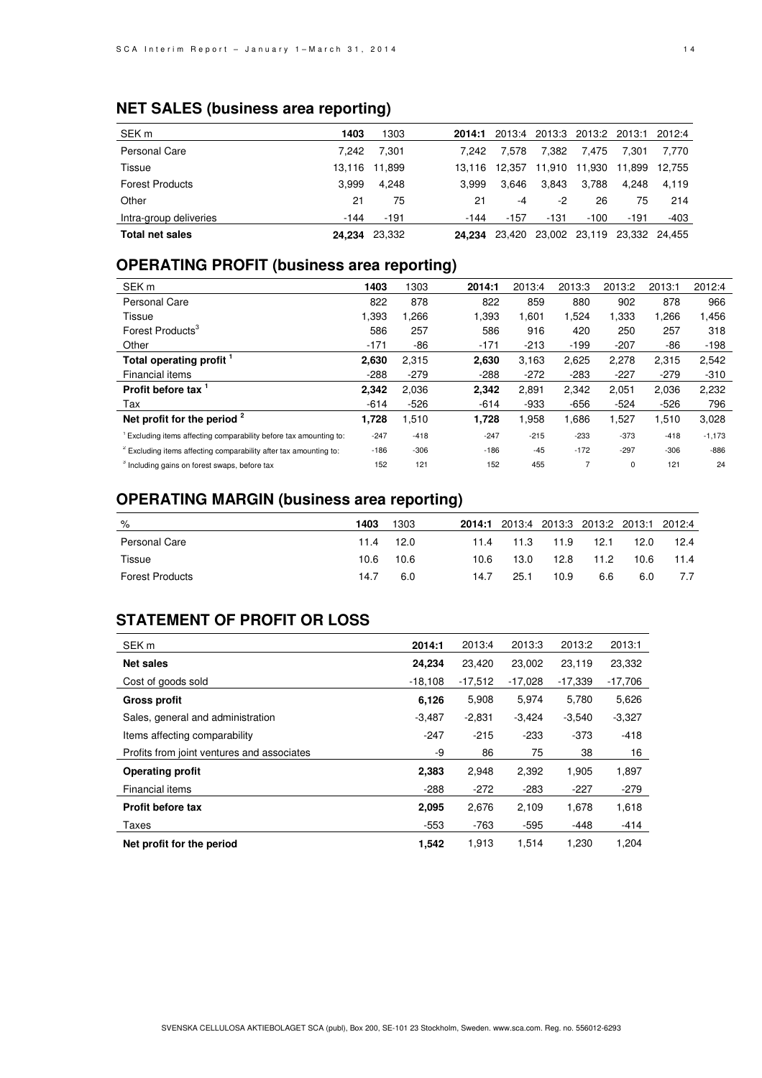## **NET SALES (business area reporting)**

| SEK <sub>m</sub>       | 1403   | 1303          | 2014:1 | 2013:4 |        | 2013:3 2013:2 2013:1 2012:4 |        |        |
|------------------------|--------|---------------|--------|--------|--------|-----------------------------|--------|--------|
| <b>Personal Care</b>   | 7.242  | 7.301         | 7.242  | 7.578  | 7.382  | 7.475                       | 7.301  | 7.770  |
| Tissue                 |        | 13.116 11.899 | 13.116 | 12.357 | 11.910 | 11.930                      | 11.899 | 12.755 |
| <b>Forest Products</b> | 3.999  | 4.248         | 3.999  | 3.646  | 3.843  | 3.788                       | 4.248  | 4.119  |
| Other                  | 21     | 75            | 21     | -4     | $-2$   | 26                          | 75     | 214    |
| Intra-group deliveries | -144   | $-191$        | $-144$ | $-157$ | -131   | $-100$                      | $-191$ | $-403$ |
| Total net sales        | 24.234 | 23.332        | 24.234 | 23.420 | 23,002 | 23,119 23,332 24,455        |        |        |

## **OPERATING PROFIT (business area reporting)**

| SEK <sub>m</sub>                                                              | 1403   | 1303   | 2014:1 | 2013:4 | 2013:3         | 2013:2 | 2013:1 | 2012:4   |
|-------------------------------------------------------------------------------|--------|--------|--------|--------|----------------|--------|--------|----------|
| <b>Personal Care</b>                                                          | 822    | 878    | 822    | 859    | 880            | 902    | 878    | 966      |
| Tissue                                                                        | 1,393  | .266   | 1,393  | 1,601  | 1,524          | 1,333  | 266. ا | 1,456    |
| Forest Products <sup>3</sup>                                                  | 586    | 257    | 586    | 916    | 420            | 250    | 257    | 318      |
| Other                                                                         | $-171$ | -86    | $-171$ | $-213$ | $-199$         | $-207$ | $-86$  | $-198$   |
| Total operating profit '                                                      | 2,630  | 2,315  | 2,630  | 3,163  | 2,625          | 2,278  | 2,315  | 2,542    |
| Financial items                                                               | $-288$ | $-279$ | $-288$ | $-272$ | $-283$         | $-227$ | $-279$ | $-310$   |
| Profit before tax                                                             | 2.342  | 2,036  | 2,342  | 2,891  | 2,342          | 2.051  | 2,036  | 2,232    |
| Tax                                                                           | $-614$ | $-526$ | $-614$ | $-933$ | $-656$         | $-524$ | $-526$ | 796      |
| Net profit for the period $2$                                                 | 1,728  | 1,510  | 1,728  | 958.   | 1,686          | 1,527  | 1,510  | 3,028    |
| <sup>1</sup> Excluding items affecting comparability before tax amounting to: | $-247$ | $-418$ | $-247$ | $-215$ | $-233$         | $-373$ | $-418$ | $-1,173$ |
| <sup>2</sup> Excluding items affecting comparability after tax amounting to:  | $-186$ | $-306$ | $-186$ | $-45$  | $-172$         | $-297$ | $-306$ | $-886$   |
| <sup>3</sup> Including gains on forest swaps, before tax                      | 152    | 121    | 152    | 455    | $\overline{7}$ | 0      | 121    | 24       |

# **OPERATING MARGIN (business area reporting)**

| %                      | 1403 | 1303 |      | 2014:1 2013:4 2013:3 2013:2 2013:1 2012:4 |      |      |      |      |
|------------------------|------|------|------|-------------------------------------------|------|------|------|------|
| Personal Care          | 11.4 | 12.0 | 11.4 | 11.3                                      | 11.9 | 12.1 | 12.0 | 12.4 |
| Tissue                 | 10.6 | 10.6 | 10.6 | 13.0                                      | 12.8 | 11.2 | 10.6 | 11.4 |
| <b>Forest Products</b> | 14.7 | 6.0  | 14.7 | 25.1                                      | 10.9 | 6.6  | 6.0  | 7.7  |

## **STATEMENT OF PROFIT OR LOSS**

| SEK <sub>m</sub>                           | 2014:1    | 2013:4    | 2013:3    | 2013:2    | 2013:1    |
|--------------------------------------------|-----------|-----------|-----------|-----------|-----------|
| <b>Net sales</b>                           | 24,234    | 23,420    | 23,002    | 23,119    | 23,332    |
| Cost of goods sold                         | $-18,108$ | $-17,512$ | $-17,028$ | $-17,339$ | $-17,706$ |
| <b>Gross profit</b>                        | 6,126     | 5,908     | 5,974     | 5,780     | 5,626     |
| Sales, general and administration          | $-3,487$  | $-2,831$  | $-3,424$  | $-3,540$  | $-3,327$  |
| Items affecting comparability              | $-247$    | $-215$    | $-233$    | $-373$    | $-418$    |
| Profits from joint ventures and associates | -9        | 86        | 75        | 38        | 16        |
| <b>Operating profit</b>                    | 2,383     | 2,948     | 2,392     | 1,905     | 1,897     |
| Financial items                            | $-288$    | $-272$    | $-283$    | $-227$    | $-279$    |
| <b>Profit before tax</b>                   | 2,095     | 2,676     | 2,109     | 1,678     | 1,618     |
| Taxes                                      | $-553$    | $-763$    | $-595$    | -448      | $-414$    |
| Net profit for the period                  | 1,542     | 1,913     | 1,514     | 1,230     | 1,204     |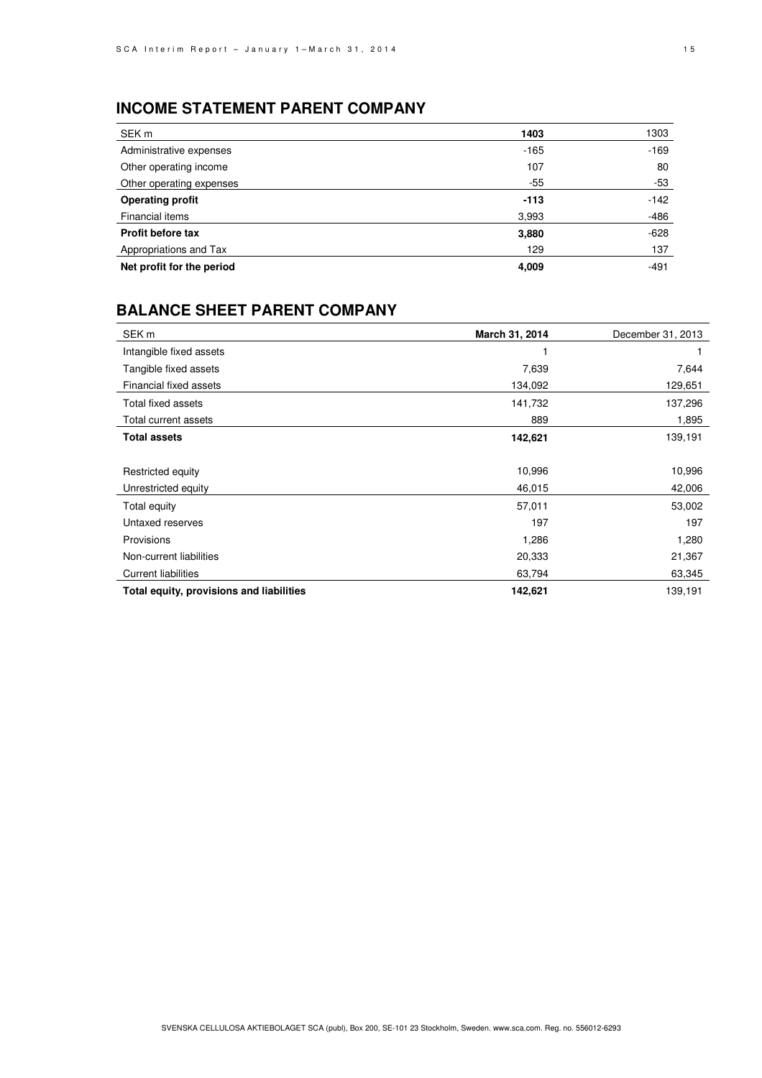## **INCOME STATEMENT PARENT COMPANY**

| SEK <sub>m</sub>          | 1403   | 1303   |
|---------------------------|--------|--------|
| Administrative expenses   | $-165$ | $-169$ |
| Other operating income    | 107    | 80     |
| Other operating expenses  | $-55$  | -53    |
| <b>Operating profit</b>   | $-113$ | $-142$ |
| Financial items           | 3,993  | -486   |
| <b>Profit before tax</b>  | 3,880  | $-628$ |
| Appropriations and Tax    | 129    | 137    |
| Net profit for the period | 4,009  | $-491$ |

## **BALANCE SHEET PARENT COMPANY**

| SEK <sub>m</sub>                         | March 31, 2014 | December 31, 2013 |
|------------------------------------------|----------------|-------------------|
| Intangible fixed assets                  |                |                   |
| Tangible fixed assets                    | 7,639          | 7,644             |
| Financial fixed assets                   | 134,092        | 129,651           |
| Total fixed assets                       | 141,732        | 137,296           |
| Total current assets                     | 889            | 1,895             |
| <b>Total assets</b>                      | 142,621        | 139,191           |
|                                          |                |                   |
| Restricted equity                        | 10,996         | 10,996            |
| Unrestricted equity                      | 46,015         | 42,006            |
| Total equity                             | 57,011         | 53,002            |
| Untaxed reserves                         | 197            | 197               |
| Provisions                               | 1,286          | 1,280             |
| Non-current liabilities                  | 20,333         | 21,367            |
| <b>Current liabilities</b>               | 63,794         | 63,345            |
| Total equity, provisions and liabilities | 142,621        | 139,191           |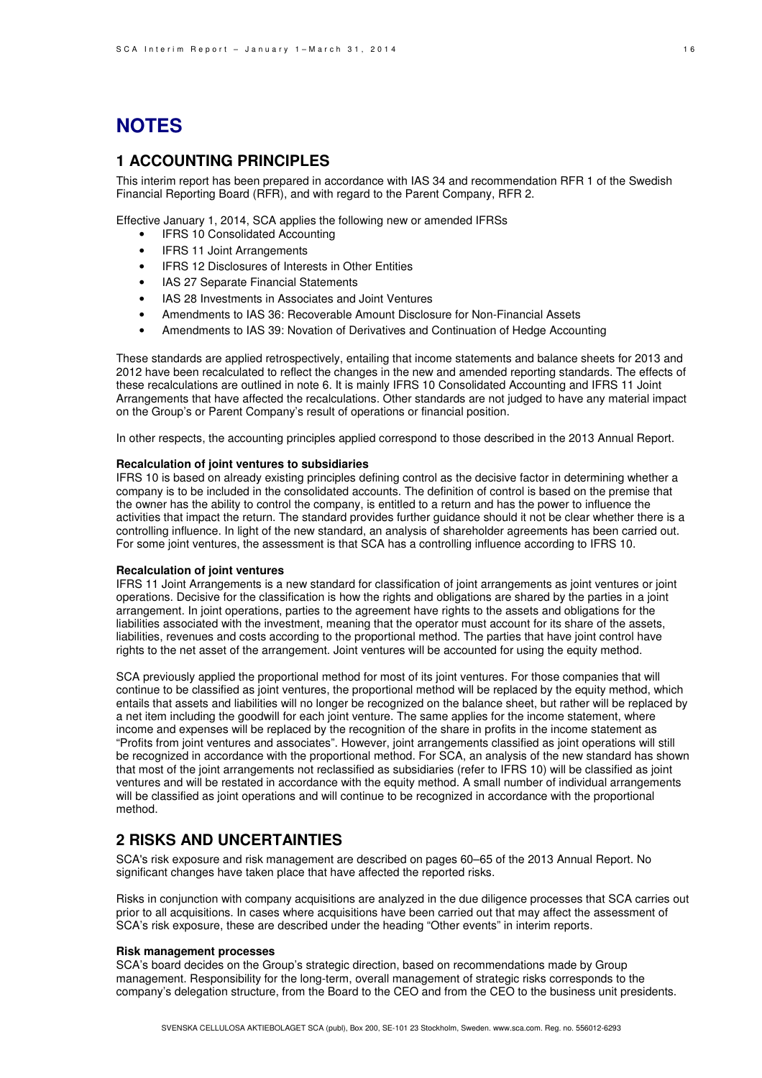# **NOTES**

## **1 ACCOUNTING PRINCIPLES**

This interim report has been prepared in accordance with IAS 34 and recommendation RFR 1 of the Swedish Financial Reporting Board (RFR), and with regard to the Parent Company, RFR 2.

Effective January 1, 2014, SCA applies the following new or amended IFRSs

- **IFRS 10 Consolidated Accounting**
- **IFRS 11 Joint Arrangements**
- IFRS 12 Disclosures of Interests in Other Entities
- IAS 27 Separate Financial Statements
- IAS 28 Investments in Associates and Joint Ventures
- Amendments to IAS 36: Recoverable Amount Disclosure for Non-Financial Assets
- Amendments to IAS 39: Novation of Derivatives and Continuation of Hedge Accounting

These standards are applied retrospectively, entailing that income statements and balance sheets for 2013 and 2012 have been recalculated to reflect the changes in the new and amended reporting standards. The effects of these recalculations are outlined in note 6. It is mainly IFRS 10 Consolidated Accounting and IFRS 11 Joint Arrangements that have affected the recalculations. Other standards are not judged to have any material impact on the Group's or Parent Company's result of operations or financial position.

In other respects, the accounting principles applied correspond to those described in the 2013 Annual Report.

#### **Recalculation of joint ventures to subsidiaries**

IFRS 10 is based on already existing principles defining control as the decisive factor in determining whether a company is to be included in the consolidated accounts. The definition of control is based on the premise that the owner has the ability to control the company, is entitled to a return and has the power to influence the activities that impact the return. The standard provides further guidance should it not be clear whether there is a controlling influence. In light of the new standard, an analysis of shareholder agreements has been carried out. For some joint ventures, the assessment is that SCA has a controlling influence according to IFRS 10.

#### **Recalculation of joint ventures**

IFRS 11 Joint Arrangements is a new standard for classification of joint arrangements as joint ventures or joint operations. Decisive for the classification is how the rights and obligations are shared by the parties in a joint arrangement. In joint operations, parties to the agreement have rights to the assets and obligations for the liabilities associated with the investment, meaning that the operator must account for its share of the assets, liabilities, revenues and costs according to the proportional method. The parties that have joint control have rights to the net asset of the arrangement. Joint ventures will be accounted for using the equity method.

SCA previously applied the proportional method for most of its joint ventures. For those companies that will continue to be classified as joint ventures, the proportional method will be replaced by the equity method, which entails that assets and liabilities will no longer be recognized on the balance sheet, but rather will be replaced by a net item including the goodwill for each joint venture. The same applies for the income statement, where income and expenses will be replaced by the recognition of the share in profits in the income statement as "Profits from joint ventures and associates". However, joint arrangements classified as joint operations will still be recognized in accordance with the proportional method. For SCA, an analysis of the new standard has shown that most of the joint arrangements not reclassified as subsidiaries (refer to IFRS 10) will be classified as joint ventures and will be restated in accordance with the equity method. A small number of individual arrangements will be classified as joint operations and will continue to be recognized in accordance with the proportional method.

## **2 RISKS AND UNCERTAINTIES**

SCA's risk exposure and risk management are described on pages 60–65 of the 2013 Annual Report. No significant changes have taken place that have affected the reported risks.

Risks in conjunction with company acquisitions are analyzed in the due diligence processes that SCA carries out prior to all acquisitions. In cases where acquisitions have been carried out that may affect the assessment of SCA's risk exposure, these are described under the heading "Other events" in interim reports.

#### **Risk management processes**

SCA's board decides on the Group's strategic direction, based on recommendations made by Group management. Responsibility for the long-term, overall management of strategic risks corresponds to the company's delegation structure, from the Board to the CEO and from the CEO to the business unit presidents.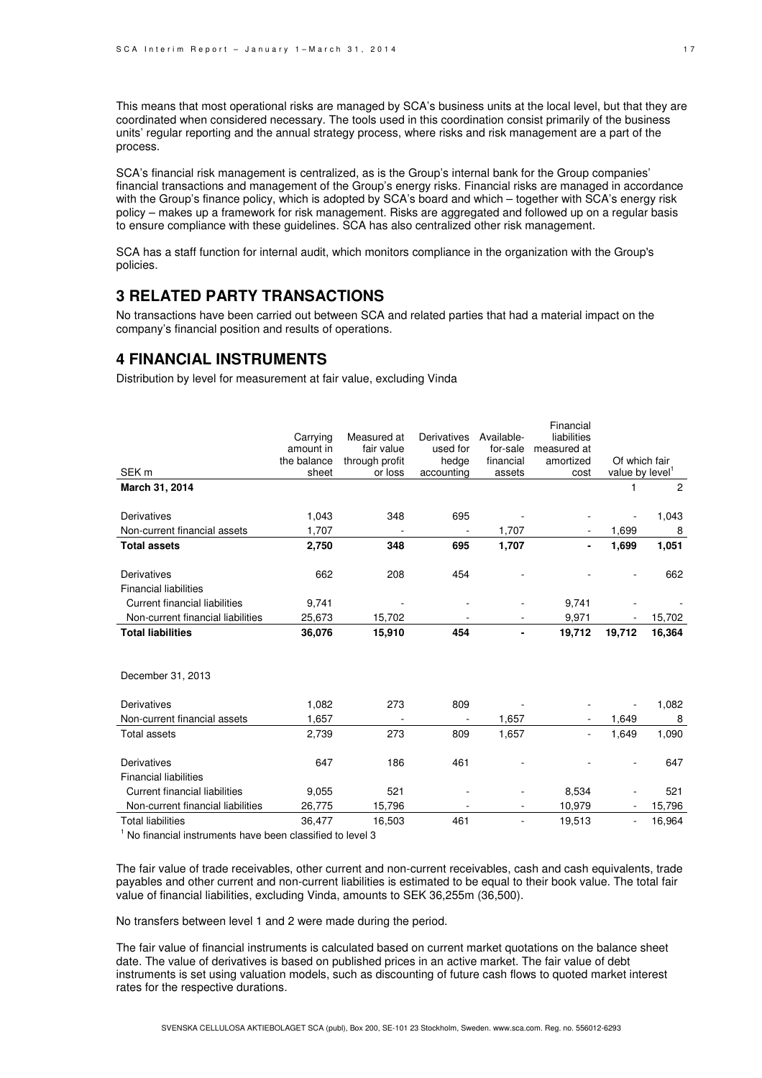This means that most operational risks are managed by SCA's business units at the local level, but that they are coordinated when considered necessary. The tools used in this coordination consist primarily of the business units' regular reporting and the annual strategy process, where risks and risk management are a part of the process.

SCA's financial risk management is centralized, as is the Group's internal bank for the Group companies' financial transactions and management of the Group's energy risks. Financial risks are managed in accordance with the Group's finance policy, which is adopted by SCA's board and which – together with SCA's energy risk policy – makes up a framework for risk management. Risks are aggregated and followed up on a regular basis to ensure compliance with these guidelines. SCA has also centralized other risk management.

SCA has a staff function for internal audit, which monitors compliance in the organization with the Group's policies.

## **3 RELATED PARTY TRANSACTIONS**

No transactions have been carried out between SCA and related parties that had a material impact on the company's financial position and results of operations.

### **4 FINANCIAL INSTRUMENTS**

Distribution by level for measurement at fair value, excluding Vinda

| SEK <sub>m</sub>                                                                                   | Carrying<br>amount in<br>the balance<br>sheet | Measured at<br>fair value<br>through profit<br>or loss | Derivatives<br>used for<br>hedge<br>accounting | Available-<br>for-sale<br>financial<br>assets | Financial<br>liabilities<br>measured at<br>amortized<br>cost | Of which fair<br>value by level |                |
|----------------------------------------------------------------------------------------------------|-----------------------------------------------|--------------------------------------------------------|------------------------------------------------|-----------------------------------------------|--------------------------------------------------------------|---------------------------------|----------------|
| March 31, 2014                                                                                     |                                               |                                                        |                                                |                                               |                                                              | 1                               | $\overline{2}$ |
| Derivatives                                                                                        | 1,043                                         | 348                                                    | 695                                            |                                               |                                                              |                                 | 1,043          |
| Non-current financial assets                                                                       | 1,707                                         |                                                        |                                                | 1,707                                         |                                                              | 1,699                           | 8              |
| <b>Total assets</b>                                                                                | 2,750                                         | 348                                                    | 695                                            | 1,707                                         |                                                              | 1,699                           | 1,051          |
| Derivatives<br><b>Financial liabilities</b>                                                        | 662                                           | 208                                                    | 454                                            |                                               |                                                              |                                 | 662            |
| <b>Current financial liabilities</b>                                                               | 9,741                                         |                                                        |                                                |                                               | 9,741                                                        |                                 |                |
| Non-current financial liabilities                                                                  | 25,673                                        | 15,702                                                 |                                                |                                               | 9,971                                                        |                                 | 15,702         |
| <b>Total liabilities</b>                                                                           | 36,076                                        | 15,910                                                 | 454                                            |                                               | 19,712                                                       | 19,712                          | 16,364         |
| December 31, 2013                                                                                  |                                               |                                                        |                                                |                                               |                                                              |                                 |                |
| Derivatives                                                                                        | 1,082                                         | 273                                                    | 809                                            |                                               |                                                              |                                 | 1,082          |
| Non-current financial assets                                                                       | 1,657                                         |                                                        |                                                | 1,657                                         |                                                              | 1,649                           | 8              |
| <b>Total assets</b>                                                                                | 2,739                                         | 273                                                    | 809                                            | 1,657                                         |                                                              | 1,649                           | 1,090          |
| Derivatives                                                                                        | 647                                           | 186                                                    | 461                                            |                                               |                                                              |                                 | 647            |
| <b>Financial liabilities</b>                                                                       |                                               |                                                        |                                                |                                               |                                                              |                                 |                |
| <b>Current financial liabilities</b><br>Non-current financial liabilities                          | 9,055                                         | 521                                                    |                                                |                                               | 8,534                                                        |                                 | 521            |
|                                                                                                    | 26,775                                        | 15,796                                                 |                                                |                                               | 10,979                                                       |                                 | 15,796         |
| <b>Total liabilities</b><br>$\frac{1}{2}$ No financial instruments house heap elegation to lovel 2 | 36.477                                        | 16,503                                                 | 461                                            |                                               | 19,513                                                       |                                 | 16,964         |

No financial instruments have been classified to level 3

The fair value of trade receivables, other current and non-current receivables, cash and cash equivalents, trade payables and other current and non-current liabilities is estimated to be equal to their book value. The total fair value of financial liabilities, excluding Vinda, amounts to SEK 36,255m (36,500).

No transfers between level 1 and 2 were made during the period.

The fair value of financial instruments is calculated based on current market quotations on the balance sheet date. The value of derivatives is based on published prices in an active market. The fair value of debt instruments is set using valuation models, such as discounting of future cash flows to quoted market interest rates for the respective durations.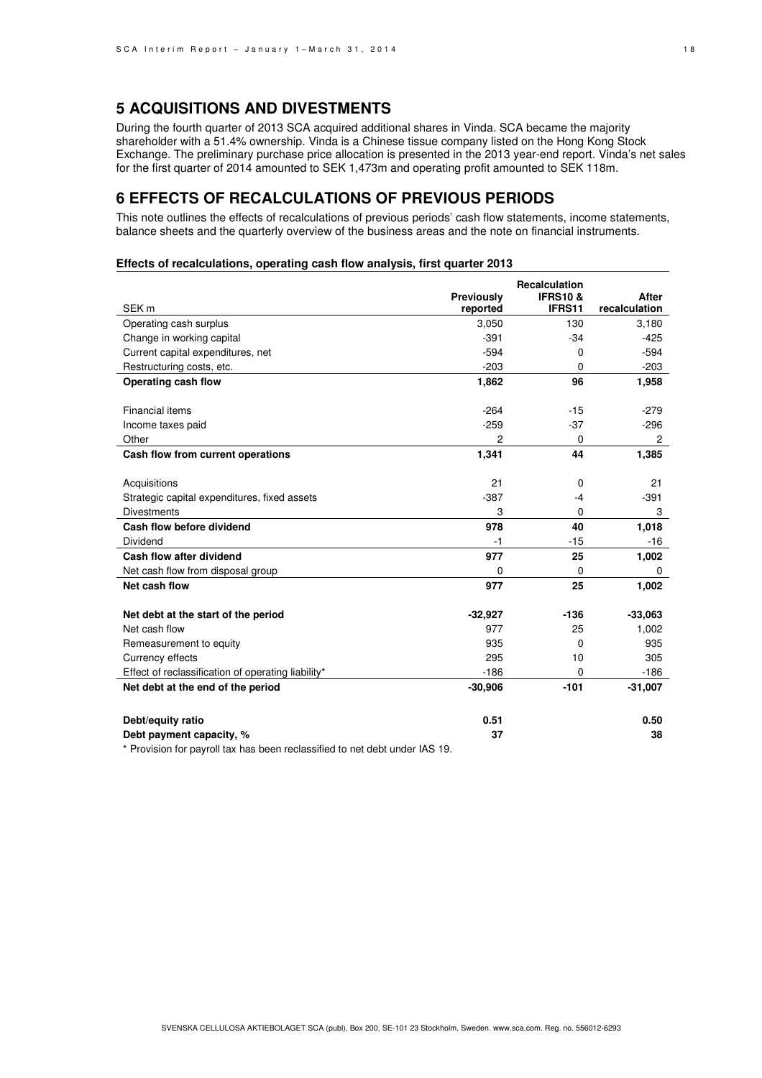## **5 ACQUISITIONS AND DIVESTMENTS**

During the fourth quarter of 2013 SCA acquired additional shares in Vinda. SCA became the majority shareholder with a 51.4% ownership. Vinda is a Chinese tissue company listed on the Hong Kong Stock Exchange. The preliminary purchase price allocation is presented in the 2013 year-end report. Vinda's net sales for the first quarter of 2014 amounted to SEK 1,473m and operating profit amounted to SEK 118m.

## **6 EFFECTS OF RECALCULATIONS OF PREVIOUS PERIODS**

This note outlines the effects of recalculations of previous periods' cash flow statements, income statements, balance sheets and the quarterly overview of the business areas and the note on financial instruments.

#### **Effects of recalculations, operating cash flow analysis, first quarter 2013**

|                                                                             | Previously | Recalculation<br><b>IFRS10 &amp;</b> | After                 |
|-----------------------------------------------------------------------------|------------|--------------------------------------|-----------------------|
| SEK <sub>m</sub>                                                            | reported   | IFRS11                               | recalculation         |
| Operating cash surplus                                                      | 3,050      | 130                                  | 3,180                 |
| Change in working capital                                                   | $-391$     | $-34$                                | $-425$                |
| Current capital expenditures, net                                           | $-594$     | 0                                    | $-594$                |
| Restructuring costs, etc.                                                   | $-203$     | $\Omega$                             | $-203$                |
| Operating cash flow                                                         | 1,862      | 96                                   | 1,958                 |
|                                                                             |            |                                      |                       |
| <b>Financial items</b>                                                      | $-264$     | $-15$                                | $-279$                |
| Income taxes paid                                                           | $-259$     | $-37$                                | $-296$                |
| Other                                                                       | 2          | 0                                    | $\mathbf{2}^{\prime}$ |
| Cash flow from current operations                                           | 1,341      | 44                                   | 1,385                 |
|                                                                             |            |                                      |                       |
| Acquisitions                                                                | 21         | 0                                    | 21                    |
| Strategic capital expenditures, fixed assets                                | $-387$     | $-4$                                 | $-391$                |
| <b>Divestments</b>                                                          | 3          | 0                                    | 3                     |
| Cash flow before dividend                                                   | 978        | 40                                   | 1,018                 |
| Dividend                                                                    | $-1$       | $-15$                                | $-16$                 |
| Cash flow after dividend                                                    | 977        | 25                                   | 1,002                 |
| Net cash flow from disposal group                                           | 0          | 0                                    | 0                     |
| Net cash flow                                                               | 977        | 25                                   | 1,002                 |
| Net debt at the start of the period                                         | $-32,927$  | $-136$                               | $-33,063$             |
| Net cash flow                                                               | 977        | 25                                   | 1,002                 |
| Remeasurement to equity                                                     | 935        | 0                                    | 935                   |
| Currency effects                                                            | 295        | 10                                   | 305                   |
| Effect of reclassification of operating liability*                          | $-186$     | 0                                    | $-186$                |
| Net debt at the end of the period                                           | $-30,906$  | $-101$                               | $-31,007$             |
|                                                                             |            |                                      |                       |
| Debt/equity ratio                                                           | 0.51       |                                      | 0.50                  |
| Debt payment capacity, %                                                    | 37         |                                      | 38                    |
| * Provision for payroll tax has been reclassified to net debt under IAS 19. |            |                                      |                       |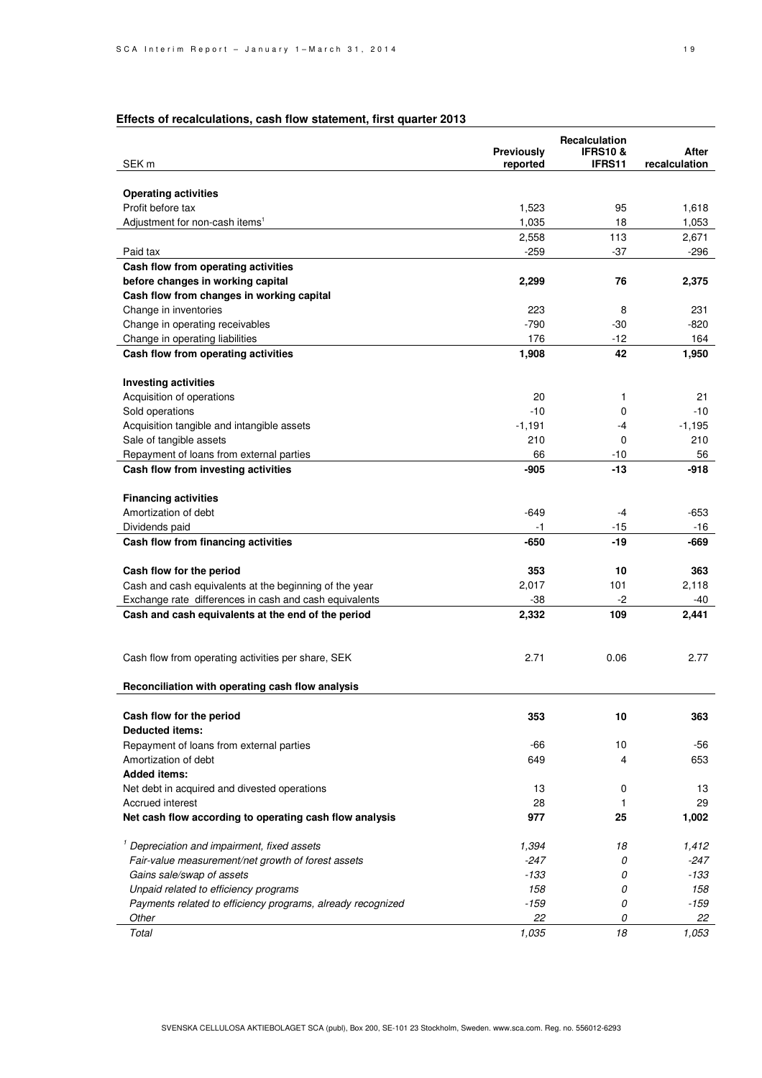## **Effects of recalculations, cash flow statement, first quarter 2013**

|                                                             |                   | Recalculation      |               |  |
|-------------------------------------------------------------|-------------------|--------------------|---------------|--|
|                                                             | <b>Previously</b> | <b>IFRS10&amp;</b> | After         |  |
| SEK <sub>m</sub>                                            | reported          | IFRS11             | recalculation |  |
| <b>Operating activities</b>                                 |                   |                    |               |  |
| Profit before tax                                           | 1,523             | 95                 | 1,618         |  |
| Adjustment for non-cash items <sup>1</sup>                  | 1,035             | 18                 | 1,053         |  |
|                                                             | 2,558             | 113                | 2,671         |  |
| Paid tax                                                    | -259              | $-37$              | -296          |  |
| Cash flow from operating activities                         |                   |                    |               |  |
| before changes in working capital                           | 2,299             | 76                 | 2,375         |  |
| Cash flow from changes in working capital                   |                   |                    |               |  |
| Change in inventories                                       | 223               | 8                  | 231           |  |
| Change in operating receivables                             | $-790$            | -30                | $-820$        |  |
| Change in operating liabilities                             | 176               | $-12$              | 164           |  |
| Cash flow from operating activities                         | 1,908             | 42                 | 1,950         |  |
|                                                             |                   |                    |               |  |
| <b>Investing activities</b>                                 |                   |                    |               |  |
| Acquisition of operations                                   | 20                | 1                  | 21            |  |
| Sold operations                                             | $-10$             | 0                  | $-10$         |  |
| Acquisition tangible and intangible assets                  | $-1,191$          | -4                 | $-1,195$      |  |
| Sale of tangible assets                                     | 210               | 0                  | 210           |  |
| Repayment of loans from external parties                    | 66                | $-10$              | 56            |  |
| Cash flow from investing activities                         | $-905$            | $-13$              | -918          |  |
|                                                             |                   |                    |               |  |
| <b>Financing activities</b>                                 |                   |                    |               |  |
| Amortization of debt                                        | $-649$            | -4                 | $-653$        |  |
| Dividends paid                                              | -1                | $-15$              | -16           |  |
| Cash flow from financing activities                         | $-650$            | -19                | -669          |  |
|                                                             |                   |                    |               |  |
| Cash flow for the period                                    | 353               | 10                 | 363           |  |
| Cash and cash equivalents at the beginning of the year      | 2,017             | 101                | 2,118         |  |
| Exchange rate differences in cash and cash equivalents      | $-38$             | -2                 | $-40$         |  |
| Cash and cash equivalents at the end of the period          | 2,332             | 109                | 2,441         |  |
|                                                             |                   |                    |               |  |
|                                                             |                   |                    |               |  |
| Cash flow from operating activities per share, SEK          | 2.71              | 0.06               | 2.77          |  |
|                                                             |                   |                    |               |  |
| Reconciliation with operating cash flow analysis            |                   |                    |               |  |
|                                                             |                   |                    |               |  |
| Cash flow for the period                                    | 353               | 10                 | 363           |  |
| <b>Deducted items:</b>                                      |                   |                    |               |  |
| Repayment of loans from external parties                    | -66               | 10                 | -56           |  |
| Amortization of debt                                        | 649               | 4                  | 653           |  |
| <b>Added items:</b>                                         |                   |                    |               |  |
| Net debt in acquired and divested operations                | 13                | 0                  | 13            |  |
| Accrued interest                                            | 28                | 1                  | 29            |  |
| Net cash flow according to operating cash flow analysis     | 977               | 25                 | 1,002         |  |
|                                                             |                   |                    |               |  |
| <sup>1</sup> Depreciation and impairment, fixed assets      | 1,394             | 18                 | 1,412         |  |
| Fair-value measurement/net growth of forest assets          | $-247$            | 0                  | -247          |  |
| Gains sale/swap of assets                                   | $-133$            | 0                  | -133          |  |
| Unpaid related to efficiency programs                       | 158               | 0                  | 158           |  |
| Payments related to efficiency programs, already recognized | $-159$            | 0                  | -159          |  |
| Other                                                       | 22                | 0                  | 22            |  |
| Total                                                       | 1,035             | 18                 | 1,053         |  |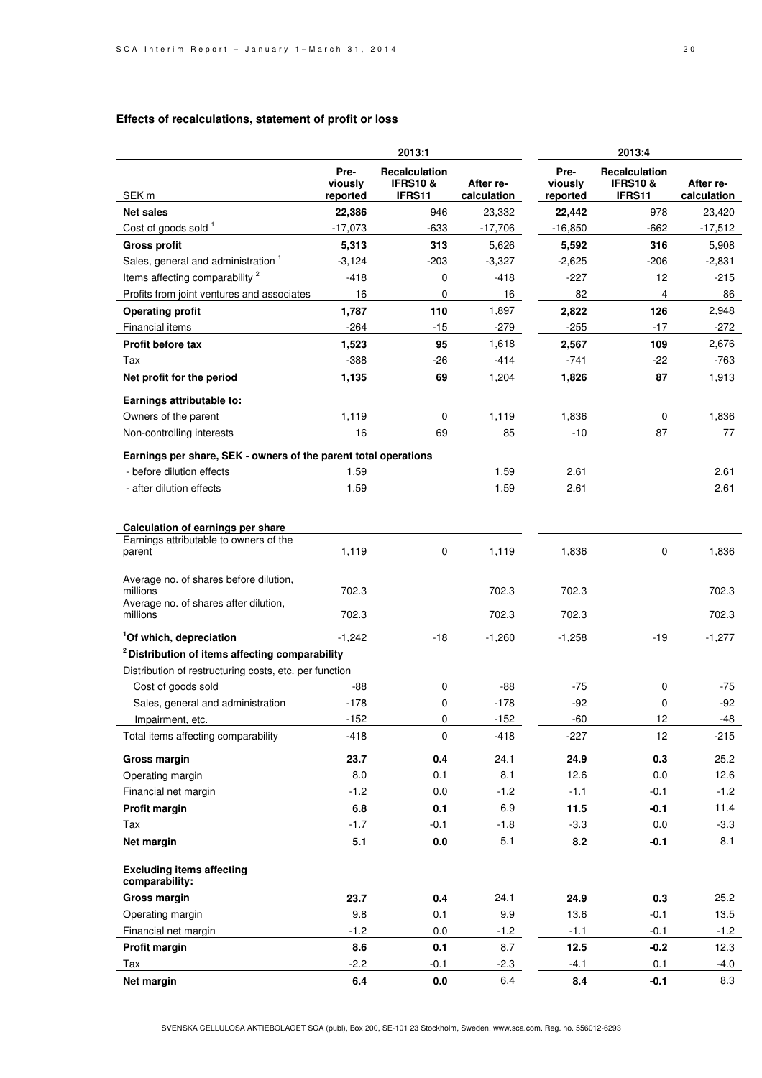#### **Effects of recalculations, statement of profit or loss**

|                                                                                                   | 2013:1                      |                                                |                          |                             | 2013:4                                         |                          |
|---------------------------------------------------------------------------------------------------|-----------------------------|------------------------------------------------|--------------------------|-----------------------------|------------------------------------------------|--------------------------|
| SEK <sub>m</sub>                                                                                  | Pre-<br>viously<br>reported | Recalculation<br><b>IFRS10 &amp;</b><br>IFRS11 | After re-<br>calculation | Pre-<br>viously<br>reported | Recalculation<br><b>IFRS10 &amp;</b><br>IFRS11 | After re-<br>calculation |
| <b>Net sales</b>                                                                                  | 22,386                      | 946                                            | 23,332                   | 22,442                      | 978                                            | 23,420                   |
| Cost of goods sold 1                                                                              | $-17,073$                   | $-633$                                         | $-17,706$                | $-16,850$                   | $-662$                                         | $-17,512$                |
| <b>Gross profit</b>                                                                               | 5,313                       | 313                                            | 5,626                    | 5,592                       | 316                                            | 5,908                    |
| Sales, general and administration <sup>1</sup>                                                    | $-3,124$                    | $-203$                                         | $-3,327$                 | $-2,625$                    | -206                                           | $-2,831$                 |
| Items affecting comparability <sup>2</sup>                                                        | $-418$                      | 0                                              | $-418$                   | $-227$                      | 12                                             | $-215$                   |
| Profits from joint ventures and associates                                                        | 16                          | 0                                              | 16                       | 82                          | 4                                              | 86                       |
| <b>Operating profit</b>                                                                           | 1,787                       | 110                                            | 1,897                    | 2,822                       | 126                                            | 2,948                    |
| Financial items                                                                                   | $-264$                      | $-15$                                          | $-279$                   | $-255$                      | $-17$                                          | $-272$                   |
| Profit before tax                                                                                 | 1,523                       | 95                                             | 1,618                    | 2,567                       | 109                                            | 2,676                    |
| Tax                                                                                               | $-388$                      | $-26$                                          | -414                     | $-741$                      | -22                                            | -763                     |
| Net profit for the period                                                                         | 1,135                       | 69                                             | 1,204                    | 1,826                       | 87                                             | 1,913                    |
|                                                                                                   |                             |                                                |                          |                             |                                                |                          |
| Earnings attributable to:                                                                         |                             |                                                |                          |                             |                                                |                          |
| Owners of the parent                                                                              | 1,119                       | 0                                              | 1,119                    | 1,836                       | 0                                              | 1,836                    |
| Non-controlling interests                                                                         | 16                          | 69                                             | 85                       | $-10$                       | 87                                             | 77                       |
| Earnings per share, SEK - owners of the parent total operations                                   |                             |                                                |                          |                             |                                                |                          |
| - before dilution effects                                                                         | 1.59                        |                                                | 1.59                     | 2.61                        |                                                | 2.61                     |
| - after dilution effects                                                                          | 1.59                        |                                                | 1.59                     | 2.61                        |                                                | 2.61                     |
|                                                                                                   |                             |                                                |                          |                             |                                                |                          |
| Calculation of earnings per share<br>Earnings attributable to owners of the                       |                             |                                                |                          |                             |                                                |                          |
| parent                                                                                            | 1,119                       | $\mathbf 0$                                    | 1,119                    | 1,836                       | 0                                              | 1,836                    |
|                                                                                                   |                             |                                                |                          |                             |                                                |                          |
| Average no. of shares before dilution,<br>millions<br>Average no. of shares after dilution,       | 702.3                       |                                                | 702.3                    | 702.3                       |                                                | 702.3                    |
| millions                                                                                          | 702.3                       |                                                | 702.3                    | 702.3                       |                                                | 702.3                    |
|                                                                                                   |                             |                                                |                          |                             |                                                |                          |
| <sup>1</sup> Of which, depreciation<br><sup>2</sup> Distribution of items affecting comparability | $-1,242$                    | -18                                            | $-1,260$                 | $-1,258$                    | -19                                            | $-1,277$                 |
|                                                                                                   |                             |                                                |                          |                             |                                                |                          |
| Distribution of restructuring costs, etc. per function                                            |                             | 0                                              | -88                      | $-75$                       |                                                | -75                      |
| Cost of goods sold                                                                                | -88                         |                                                | $-178$                   | $-92$                       | 0                                              | $-92$                    |
| Sales, general and administration                                                                 | $-178$                      | 0                                              |                          |                             | 0                                              |                          |
| Impairment, etc.                                                                                  | $-152$                      | 0                                              | $-152$                   | -60                         | 12                                             | -48                      |
| Total items affecting comparability                                                               | $-418$                      | $\pmb{0}$                                      | $-418$                   | $-227$                      | 12                                             | $-215$                   |
| <b>Gross margin</b>                                                                               | 23.7                        | 0.4                                            | 24.1                     | 24.9                        | 0.3                                            | 25.2                     |
| Operating margin                                                                                  | 8.0                         | 0.1                                            | 8.1                      | 12.6                        | 0.0                                            | 12.6                     |
| Financial net margin                                                                              | $-1.2$                      | 0.0                                            | $-1.2$                   | $-1.1$                      | $-0.1$                                         | $-1.2$                   |
| Profit margin                                                                                     | $6.8\,$                     | 0.1                                            | 6.9                      | 11.5                        | $-0.1$                                         | 11.4                     |
| Tax                                                                                               | $-1.7$                      | $-0.1$                                         | $-1.8$                   | $-3.3$                      | $0.0\,$                                        | $-3.3$                   |
| Net margin                                                                                        | 5.1                         | 0.0                                            | 5.1                      | 8.2                         | $-0.1$                                         | 8.1                      |
| <b>Excluding items affecting</b><br>comparability:                                                |                             |                                                |                          |                             |                                                |                          |
| <b>Gross margin</b>                                                                               | 23.7                        | $0.4\,$                                        | 24.1                     | 24.9                        | 0.3                                            | 25.2                     |
| Operating margin                                                                                  | 9.8                         | 0.1                                            | 9.9                      | 13.6                        | $-0.1$                                         | 13.5                     |
| Financial net margin                                                                              | $-1.2$                      | 0.0                                            | $-1.2$                   | $-1.1$                      | $-0.1$                                         | $-1.2$                   |
| Profit margin                                                                                     | 8.6                         | 0.1                                            | 8.7                      | 12.5                        | $-0.2$                                         | 12.3                     |
| Tax                                                                                               | $-2.2$                      | $-0.1$                                         | $-2.3$                   | $-4.1$                      | 0.1                                            | $-4.0$                   |
| Net margin                                                                                        | 6.4                         | 0.0                                            | 6.4                      | 8.4                         | $-0.1$                                         | 8.3                      |
|                                                                                                   |                             |                                                |                          |                             |                                                |                          |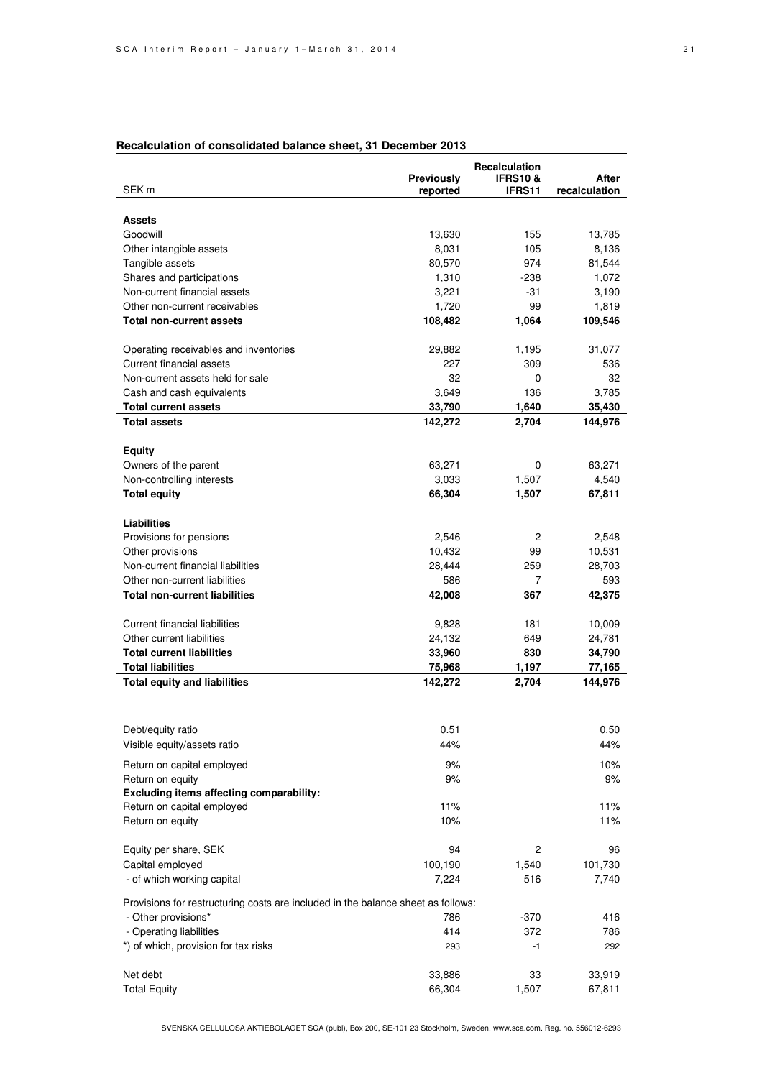#### **Recalculation of consolidated balance sheet, 31 December 2013**

|                                                                                  | Recalculation |                    |               |
|----------------------------------------------------------------------------------|---------------|--------------------|---------------|
|                                                                                  | Previously    | <b>IFRS10&amp;</b> | After         |
| SEK <sub>m</sub>                                                                 | reported      | <b>IFRS11</b>      | recalculation |
|                                                                                  |               |                    |               |
| <b>Assets</b>                                                                    |               |                    |               |
| Goodwill                                                                         | 13,630        | 155                | 13,785        |
| Other intangible assets                                                          | 8,031         | 105                | 8,136         |
| Tangible assets                                                                  | 80,570        | 974                | 81,544        |
| Shares and participations                                                        | 1,310         | -238               | 1,072         |
| Non-current financial assets                                                     | 3,221         | -31                | 3,190         |
| Other non-current receivables                                                    | 1,720         | 99                 | 1,819         |
| Total non-current assets                                                         | 108,482       | 1,064              | 109,546       |
|                                                                                  |               |                    |               |
| Operating receivables and inventories                                            | 29,882        | 1,195              | 31,077        |
| Current financial assets                                                         | 227           | 309                | 536           |
| Non-current assets held for sale                                                 | 32            | 0                  | 32            |
| Cash and cash equivalents                                                        | 3,649         | 136                | 3,785         |
| <b>Total current assets</b>                                                      | 33,790        | 1,640              | 35,430        |
| <b>Total assets</b>                                                              | 142,272       | 2,704              | 144,976       |
|                                                                                  |               |                    |               |
| <b>Equity</b>                                                                    |               |                    |               |
| Owners of the parent                                                             | 63,271        | 0                  | 63,271        |
| Non-controlling interests                                                        | 3,033         | 1,507              | 4,540         |
| <b>Total equity</b>                                                              | 66,304        | 1,507              | 67,811        |
|                                                                                  |               |                    |               |
| Liabilities                                                                      |               |                    |               |
| Provisions for pensions                                                          | 2,546         | 2                  | 2,548         |
| Other provisions                                                                 | 10,432        | 99                 | 10,531        |
| Non-current financial liabilities                                                | 28,444        | 259                | 28,703        |
| Other non-current liabilities                                                    | 586           | 7                  | 593           |
| <b>Total non-current liabilities</b>                                             | 42,008        | 367                | 42,375        |
|                                                                                  |               |                    |               |
| Current financial liabilities                                                    | 9,828         | 181                | 10,009        |
| Other current liabilities                                                        | 24,132        | 649                | 24,781        |
| <b>Total current liabilities</b>                                                 | 33,960        | 830                | 34,790        |
| <b>Total liabilities</b>                                                         | 75,968        | 1,197              | 77,165        |
| <b>Total equity and liabilities</b>                                              | 142,272       | 2,704              | 144,976       |
|                                                                                  |               |                    |               |
|                                                                                  |               |                    |               |
|                                                                                  |               |                    |               |
| Debt/equity ratio                                                                | 0.51          |                    | 0.50          |
| Visible equity/assets ratio                                                      | 44%           |                    | 44%           |
| Return on capital employed                                                       | 9%            |                    | 10%           |
| Return on equity                                                                 | 9%            |                    | 9%            |
| Excluding items affecting comparability:                                         |               |                    |               |
| Return on capital employed                                                       | 11%           |                    | 11%           |
| Return on equity                                                                 | 10%           |                    | 11%           |
|                                                                                  |               |                    |               |
| Equity per share, SEK                                                            | 94            | 2                  | 96            |
| Capital employed                                                                 | 100,190       | 1,540              | 101,730       |
| - of which working capital                                                       | 7,224         | 516                | 7,740         |
|                                                                                  |               |                    |               |
| Provisions for restructuring costs are included in the balance sheet as follows: |               |                    |               |
| - Other provisions*                                                              | 786           | -370               | 416           |
| - Operating liabilities                                                          | 414           | 372                | 786           |
| *) of which, provision for tax risks                                             | 293           | $-1$               | 292           |
|                                                                                  |               |                    |               |
| Net debt                                                                         | 33,886        | 33                 | 33,919        |
| <b>Total Equity</b>                                                              | 66,304        | 1,507              | 67,811        |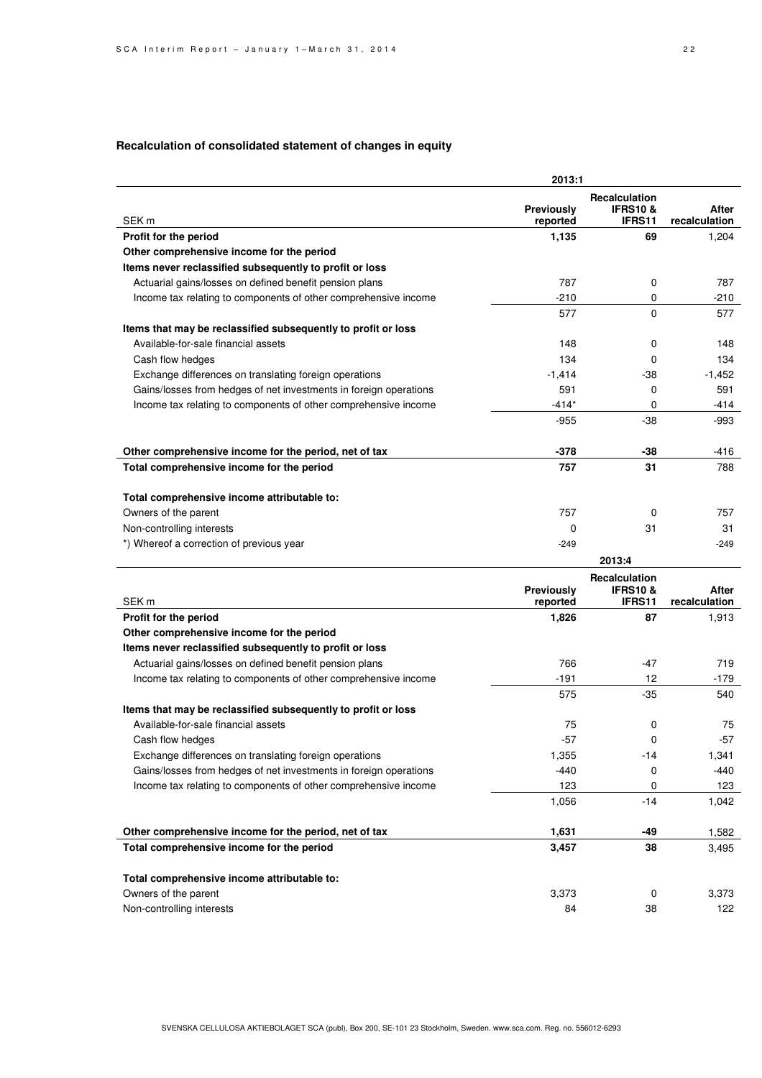## **Recalculation of consolidated statement of changes in equity**

|                                                                   | 2013:1                 |                                                      |                        |
|-------------------------------------------------------------------|------------------------|------------------------------------------------------|------------------------|
| SEK <sub>m</sub>                                                  | Previously<br>reported | Recalculation<br><b>IFRS10&amp;</b><br><b>IFRS11</b> | After<br>recalculation |
| Profit for the period                                             | 1,135                  | 69                                                   | 1,204                  |
| Other comprehensive income for the period                         |                        |                                                      |                        |
| Items never reclassified subsequently to profit or loss           |                        |                                                      |                        |
| Actuarial gains/losses on defined benefit pension plans           | 787                    | 0                                                    | 787                    |
| Income tax relating to components of other comprehensive income   | $-210$                 | 0                                                    | -210                   |
|                                                                   | 577                    | 0                                                    | 577                    |
| Items that may be reclassified subsequently to profit or loss     |                        |                                                      |                        |
| Available-for-sale financial assets                               | 148                    | 0                                                    | 148                    |
| Cash flow hedges                                                  | 134                    | 0                                                    | 134                    |
| Exchange differences on translating foreign operations            | $-1,414$               | -38                                                  | $-1,452$               |
| Gains/losses from hedges of net investments in foreign operations | 591                    | 0                                                    | 591                    |
| Income tax relating to components of other comprehensive income   | $-414*$                | 0                                                    | -414                   |
|                                                                   | $-955$                 | $-38$                                                | -993                   |
|                                                                   |                        |                                                      |                        |
| Other comprehensive income for the period, net of tax             | -378                   | -38                                                  | -416                   |
| Total comprehensive income for the period                         | 757                    | 31                                                   | 788                    |
| Total comprehensive income attributable to:                       |                        |                                                      |                        |
| Owners of the parent                                              | 757                    | 0                                                    | 757                    |
| Non-controlling interests                                         | 0                      | 31                                                   | 31                     |
| *) Whereof a correction of previous year                          | $-249$                 |                                                      | $-249$                 |
|                                                                   |                        | 2013:4                                               |                        |
|                                                                   | Previously             | Recalculation<br><b>IFRS10&amp;</b>                  | After                  |
| SEK <sub>m</sub>                                                  | reported               | <b>IFRS11</b>                                        | recalculation          |
| Profit for the period                                             | 1,826                  | 87                                                   | 1,913                  |
| Other comprehensive income for the period                         |                        |                                                      |                        |
|                                                                   |                        |                                                      |                        |
| Items never reclassified subsequently to profit or loss           |                        |                                                      |                        |
| Actuarial gains/losses on defined benefit pension plans           | 766                    | -47                                                  | 719                    |
| Income tax relating to components of other comprehensive income   | $-191$                 | 12                                                   | -179                   |
|                                                                   | 575                    | -35                                                  | 540                    |
| Items that may be reclassified subsequently to profit or loss     |                        |                                                      |                        |
| Available-for-sale financial assets                               | 75                     | 0                                                    | 75                     |
| Cash flow hedges                                                  | $-57$                  | 0                                                    | $-57$                  |
| Exchange differences on translating foreign operations            | 1,355                  | $-14$                                                | 1,341                  |
| Gains/losses from hedges of net investments in foreign operations | $-440$                 | 0                                                    | -440                   |
| Income tax relating to components of other comprehensive income   | 123                    | 0                                                    | 123                    |
|                                                                   | 1,056                  | $-14$                                                | 1,042                  |
| Other comprehensive income for the period, net of tax             | 1,631                  | -49                                                  | 1,582                  |
| Total comprehensive income for the period                         | 3,457                  | 38                                                   | 3,495                  |
|                                                                   |                        |                                                      |                        |
| Total comprehensive income attributable to:                       |                        |                                                      |                        |
| Owners of the parent<br>Non-controlling interests                 | 3,373<br>84            | 0<br>38                                              | 3,373<br>122           |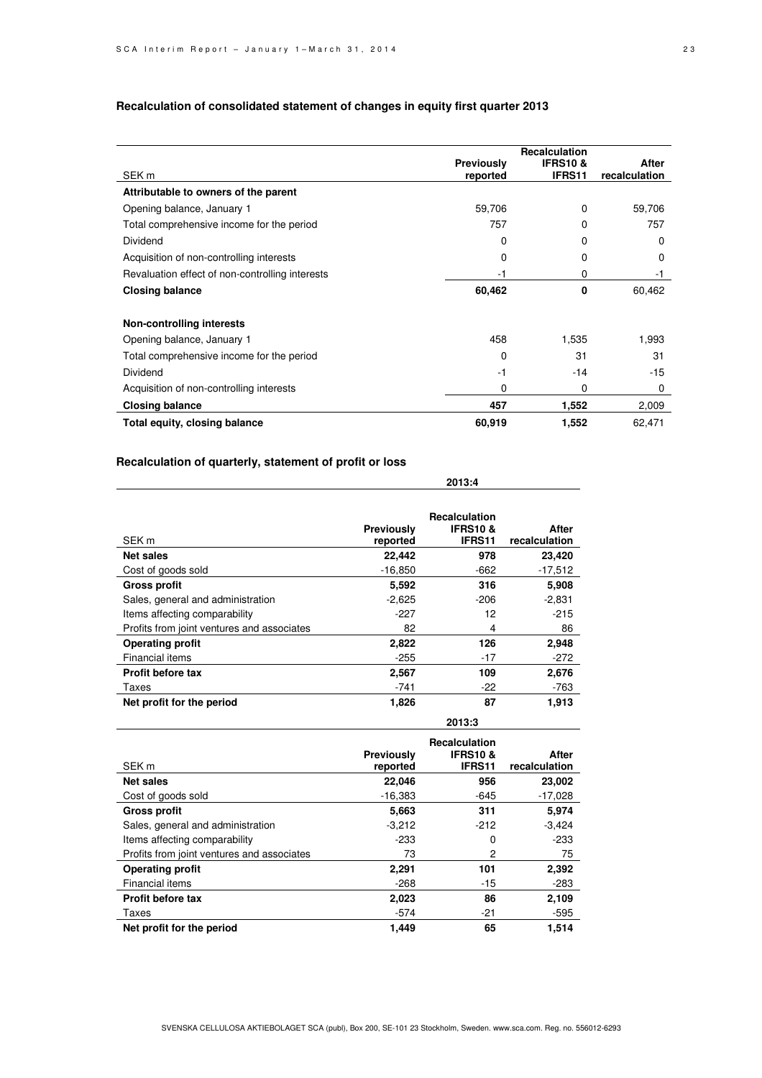|                                                 |                        | Recalculation                |                        |
|-------------------------------------------------|------------------------|------------------------------|------------------------|
| SEK <sub>m</sub>                                | Previously<br>reported | <b>IFRS10&amp;</b><br>IFRS11 | After<br>recalculation |
| Attributable to owners of the parent            |                        |                              |                        |
| Opening balance, January 1                      | 59,706                 | 0                            | 59,706                 |
| Total comprehensive income for the period       | 757                    | 0                            | 757                    |
| Dividend                                        | 0                      | 0                            | 0                      |
| Acquisition of non-controlling interests        | 0                      | 0                            | 0                      |
| Revaluation effect of non-controlling interests | -1                     | 0                            | -1                     |
| <b>Closing balance</b>                          | 60,462                 | 0                            | 60,462                 |
| Non-controlling interests                       |                        |                              |                        |
| Opening balance, January 1                      | 458                    | 1,535                        | 1.993                  |
| Total comprehensive income for the period       | 0                      | 31                           | 31                     |
| Dividend                                        | $-1$                   | $-14$                        | $-15$                  |
| Acquisition of non-controlling interests        | 0                      | 0                            | 0                      |
| <b>Closing balance</b>                          | 457                    | 1,552                        | 2,009                  |
| Total equity, closing balance                   | 60,919                 | 1,552                        | 62,471                 |

 **2013:4** 

 **2013:3** 

### **Recalculation of consolidated statement of changes in equity first quarter 2013**

## **Recalculation of quarterly, statement of profit or loss**

| SEK <sub>m</sub>                           | Previously<br>reported | <b>Recalculation</b><br><b>IFRS10 &amp;</b><br>IFRS11 | After<br>recalculation |
|--------------------------------------------|------------------------|-------------------------------------------------------|------------------------|
| <b>Net sales</b>                           | 22,442                 | 978                                                   | 23,420                 |
| Cost of goods sold                         | $-16,850$              | -662                                                  | $-17,512$              |
| <b>Gross profit</b>                        | 5.592                  | 316                                                   | 5,908                  |
| Sales, general and administration          | $-2,625$               | $-206$                                                | $-2,831$               |
| Items affecting comparability              | $-227$                 | 12                                                    | $-215$                 |
| Profits from joint ventures and associates | 82                     | 4                                                     | 86                     |
| <b>Operating profit</b>                    | 2,822                  | 126                                                   | 2,948                  |
| Financial items                            | $-255$                 | $-17$                                                 | $-272$                 |
| <b>Profit before tax</b>                   | 2,567                  | 109                                                   | 2,676                  |
| Taxes                                      | -741                   | $-22$                                                 | $-763$                 |
| Net profit for the period                  | 1,826                  | 87                                                    | 1,913                  |

| SEK <sub>m</sub>                           | <b>Previously</b><br>reported | <b>Recalculation</b><br><b>IFRS10&amp;</b><br>IFRS11 | After<br>recalculation |
|--------------------------------------------|-------------------------------|------------------------------------------------------|------------------------|
| <b>Net sales</b>                           | 22,046                        | 956                                                  | 23,002                 |
| Cost of goods sold                         | $-16,383$                     | -645                                                 | $-17,028$              |
| <b>Gross profit</b>                        | 5,663                         | 311                                                  | 5.974                  |
| Sales, general and administration          | $-3,212$                      | $-212$                                               | $-3.424$               |
| Items affecting comparability              | $-233$                        | 0                                                    | $-233$                 |
| Profits from joint ventures and associates | 73                            | 2                                                    | 75                     |
| <b>Operating profit</b>                    | 2,291                         | 101                                                  | 2,392                  |
| Financial items                            | $-268$                        | $-15$                                                | -283                   |
| <b>Profit before tax</b>                   | 2,023                         | 86                                                   | 2,109                  |
| Taxes                                      | -574                          | -21                                                  | -595                   |
| Net profit for the period                  | 1.449                         | 65                                                   | 1.514                  |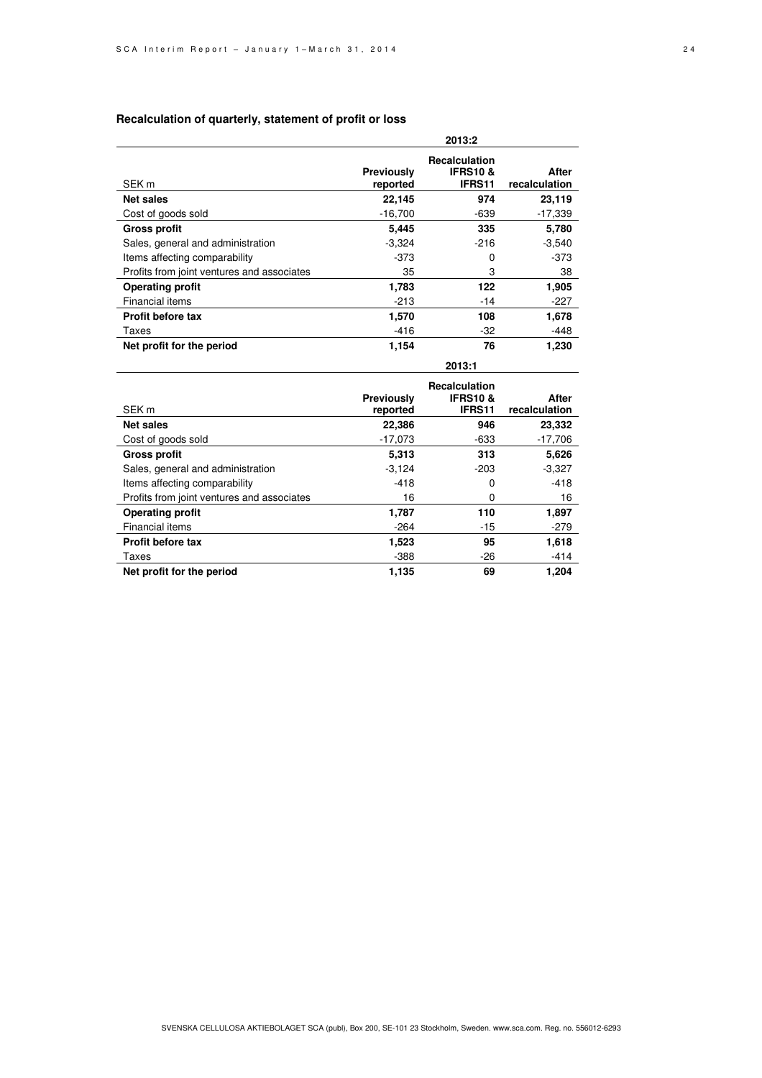#### **Recalculation of quarterly, statement of profit or loss**

|                                            | 2013:2                 |                                                             |                        |  |  |  |
|--------------------------------------------|------------------------|-------------------------------------------------------------|------------------------|--|--|--|
| SEK <sub>m</sub>                           | Previously<br>reported | <b>Recalculation</b><br><b>IFRS10&amp;</b><br><b>IFRS11</b> | After<br>recalculation |  |  |  |
| <b>Net sales</b>                           | 22,145                 | 974                                                         | 23,119                 |  |  |  |
| Cost of goods sold                         | $-16.700$              | -639                                                        | $-17,339$              |  |  |  |
| <b>Gross profit</b>                        | 5,445                  | 335                                                         | 5,780                  |  |  |  |
| Sales, general and administration          | $-3,324$               | $-216$                                                      | $-3,540$               |  |  |  |
| Items affecting comparability              | $-373$                 | 0                                                           | -373                   |  |  |  |
| Profits from joint ventures and associates | 35                     | 3                                                           | 38                     |  |  |  |
| <b>Operating profit</b>                    | 1,783                  | 122                                                         | 1,905                  |  |  |  |
| Financial items                            | $-213$                 | -14                                                         | -227                   |  |  |  |
| <b>Profit before tax</b>                   | 1,570                  | 108                                                         | 1,678                  |  |  |  |
| Taxes                                      | $-416$                 | $-32$                                                       | -448                   |  |  |  |
| Net profit for the period                  | 1,154                  | 76                                                          | 1,230                  |  |  |  |
|                                            |                        | 2013:1                                                      |                        |  |  |  |

| SEK m                                      | <b>Previously</b><br>reported | <b>Recalculation</b><br><b>IFRS10 &amp;</b><br>IFRS11 | After<br>recalculation |
|--------------------------------------------|-------------------------------|-------------------------------------------------------|------------------------|
| <b>Net sales</b>                           | 22,386                        | 946                                                   | 23,332                 |
| Cost of goods sold                         | $-17,073$                     | -633                                                  | $-17,706$              |
| <b>Gross profit</b>                        | 5,313                         | 313                                                   | 5,626                  |
| Sales, general and administration          | $-3.124$                      | $-203$                                                | $-3,327$               |
| Items affecting comparability              | $-418$                        | 0                                                     | $-418$                 |
| Profits from joint ventures and associates | 16                            | 0                                                     | 16                     |
| <b>Operating profit</b>                    | 1,787                         | 110                                                   | 1,897                  |
| <b>Financial items</b>                     | $-264$                        | $-15$                                                 | $-279$                 |
| <b>Profit before tax</b>                   | 1,523                         | 95                                                    | 1,618                  |
| Taxes                                      | $-388$                        | $-26$                                                 | $-414$                 |
| Net profit for the period                  | 1.135                         | 69                                                    | 1.204                  |